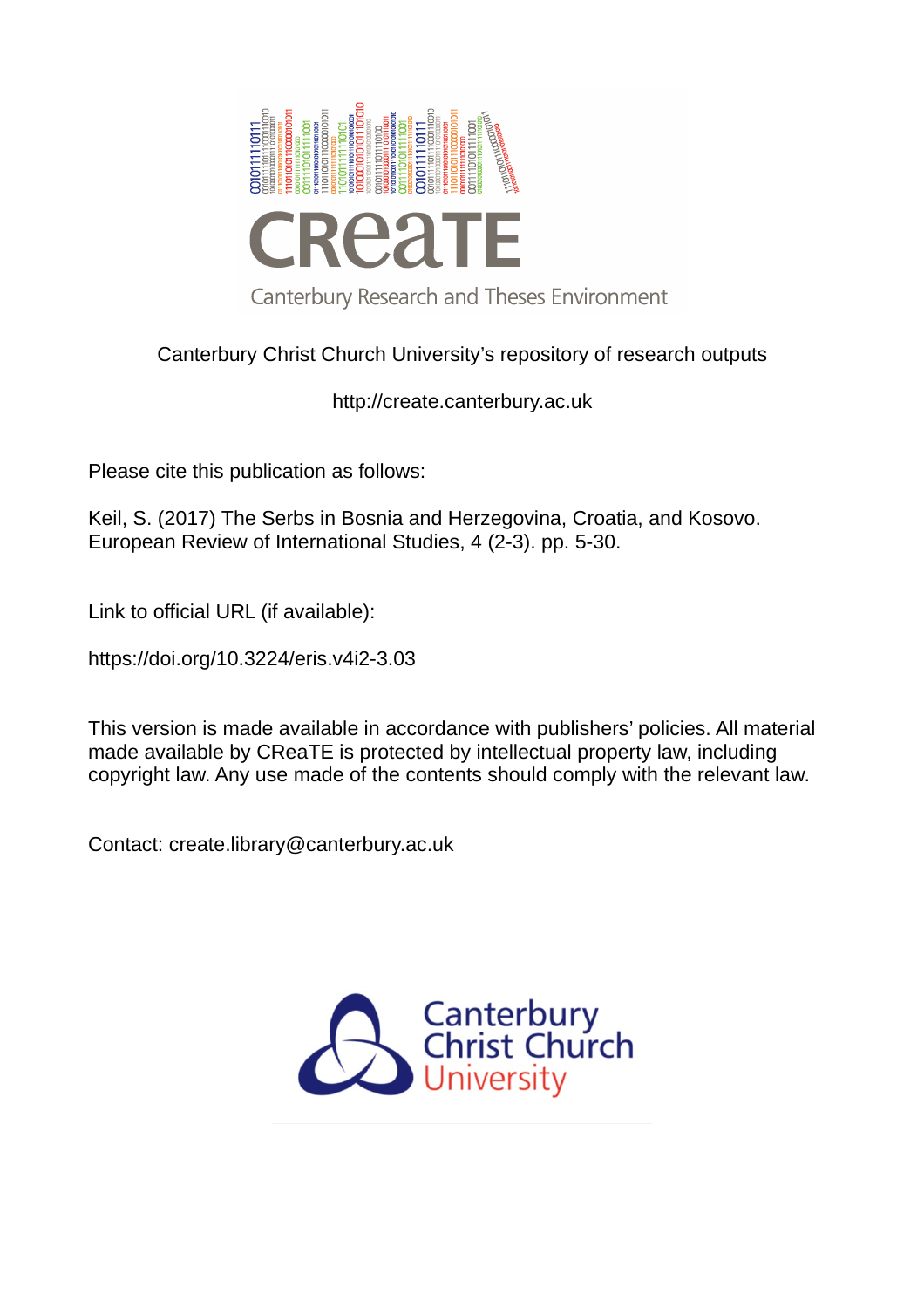

# Canterbury Christ Church University's repository of research outputs

http://create.canterbury.ac.uk

Please cite this publication as follows:

Keil, S. (2017) The Serbs in Bosnia and Herzegovina, Croatia, and Kosovo. European Review of International Studies, 4 (2-3). pp. 5-30.

Link to official URL (if available):

https://doi.org/10.3224/eris.v4i2-3.03

This version is made available in accordance with publishers' policies. All material made available by CReaTE is protected by intellectual property law, including copyright law. Any use made of the contents should comply with the relevant law.

Contact: create.library@canterbury.ac.uk

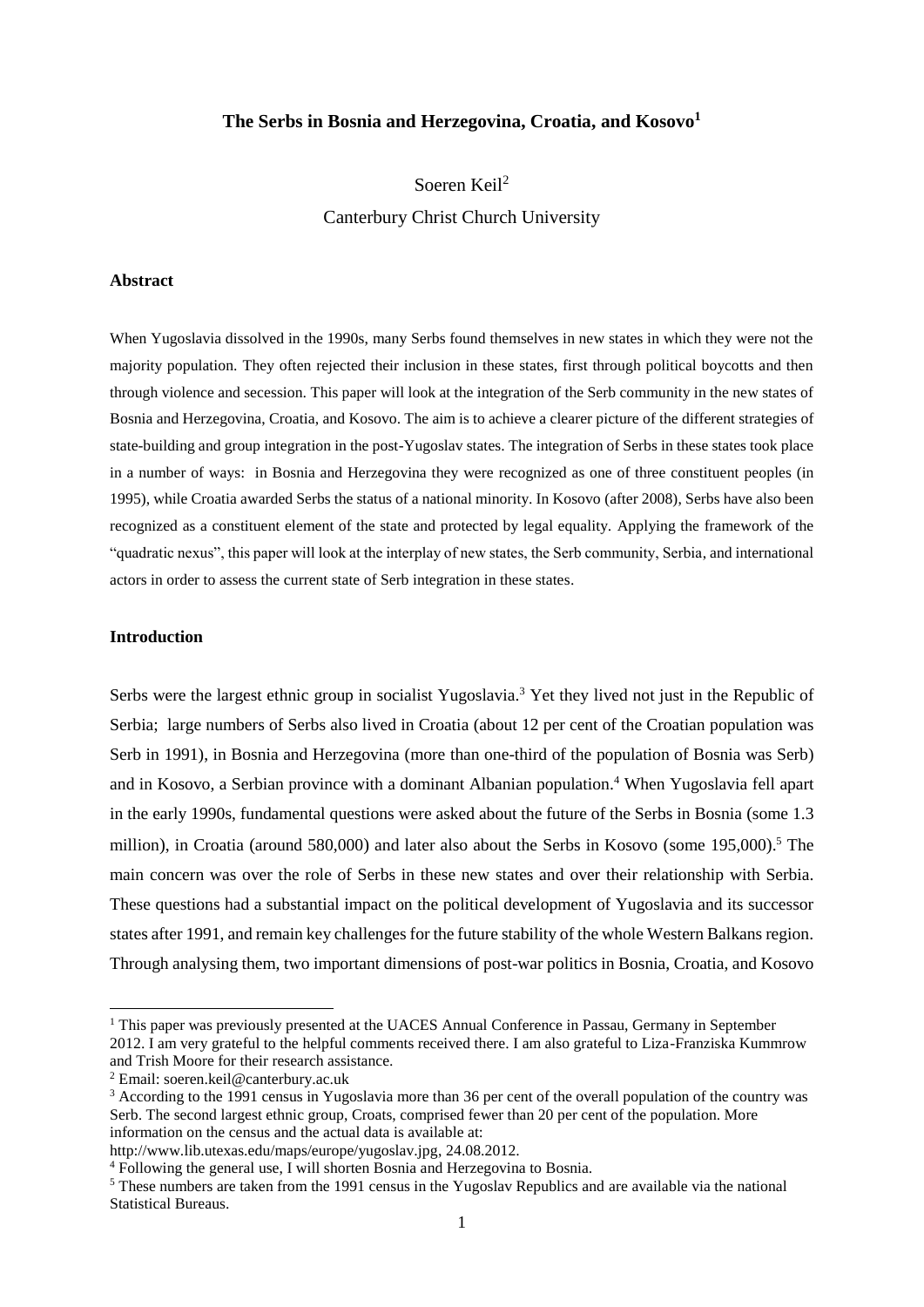# **The Serbs in Bosnia and Herzegovina, Croatia, and Kosovo<sup>1</sup>**

Soeren Keil<sup>2</sup> Canterbury Christ Church University

## **Abstract**

When Yugoslavia dissolved in the 1990s, many Serbs found themselves in new states in which they were not the majority population. They often rejected their inclusion in these states, first through political boycotts and then through violence and secession. This paper will look at the integration of the Serb community in the new states of Bosnia and Herzegovina, Croatia, and Kosovo. The aim is to achieve a clearer picture of the different strategies of state-building and group integration in the post-Yugoslav states. The integration of Serbs in these states took place in a number of ways: in Bosnia and Herzegovina they were recognized as one of three constituent peoples (in 1995), while Croatia awarded Serbs the status of a national minority. In Kosovo (after 2008), Serbs have also been recognized as a constituent element of the state and protected by legal equality. Applying the framework of the "quadratic nexus", this paper will look at the interplay of new states, the Serb community, Serbia, and international actors in order to assess the current state of Serb integration in these states.

# **Introduction**

1

Serbs were the largest ethnic group in socialist Yugoslavia.<sup>3</sup> Yet they lived not just in the Republic of Serbia; large numbers of Serbs also lived in Croatia (about 12 per cent of the Croatian population was Serb in 1991), in Bosnia and Herzegovina (more than one-third of the population of Bosnia was Serb) and in Kosovo, a Serbian province with a dominant Albanian population.<sup>4</sup> When Yugoslavia fell apart in the early 1990s, fundamental questions were asked about the future of the Serbs in Bosnia (some 1.3 million), in Croatia (around 580,000) and later also about the Serbs in Kosovo (some 195,000). <sup>5</sup> The main concern was over the role of Serbs in these new states and over their relationship with Serbia. These questions had a substantial impact on the political development of Yugoslavia and its successor states after 1991, and remain key challenges for the future stability of the whole Western Balkans region. Through analysing them, two important dimensions of post-war politics in Bosnia, Croatia, and Kosovo

<sup>&</sup>lt;sup>1</sup> This paper was previously presented at the UACES Annual Conference in Passau, Germany in September 2012. I am very grateful to the helpful comments received there. I am also grateful to Liza-Franziska Kummrow and Trish Moore for their research assistance.

<sup>2</sup> Email: [soeren.keil@canterbury.ac.uk](mailto:soeren.keil@canterbury.ac.uk)

<sup>&</sup>lt;sup>3</sup> According to the 1991 census in Yugoslavia more than 36 per cent of the overall population of the country was Serb. The second largest ethnic group, Croats, comprised fewer than 20 per cent of the population. More information on the census and the actual data is available at:

[http://www.lib.utexas.edu/maps/europe/yugoslav.jpg,](http://www.lib.utexas.edu/maps/europe/yugoslav.jpg) 24.08.2012.

<sup>4</sup> Following the general use, I will shorten Bosnia and Herzegovina to Bosnia.

<sup>5</sup> These numbers are taken from the 1991 census in the Yugoslav Republics and are available via the national Statistical Bureaus.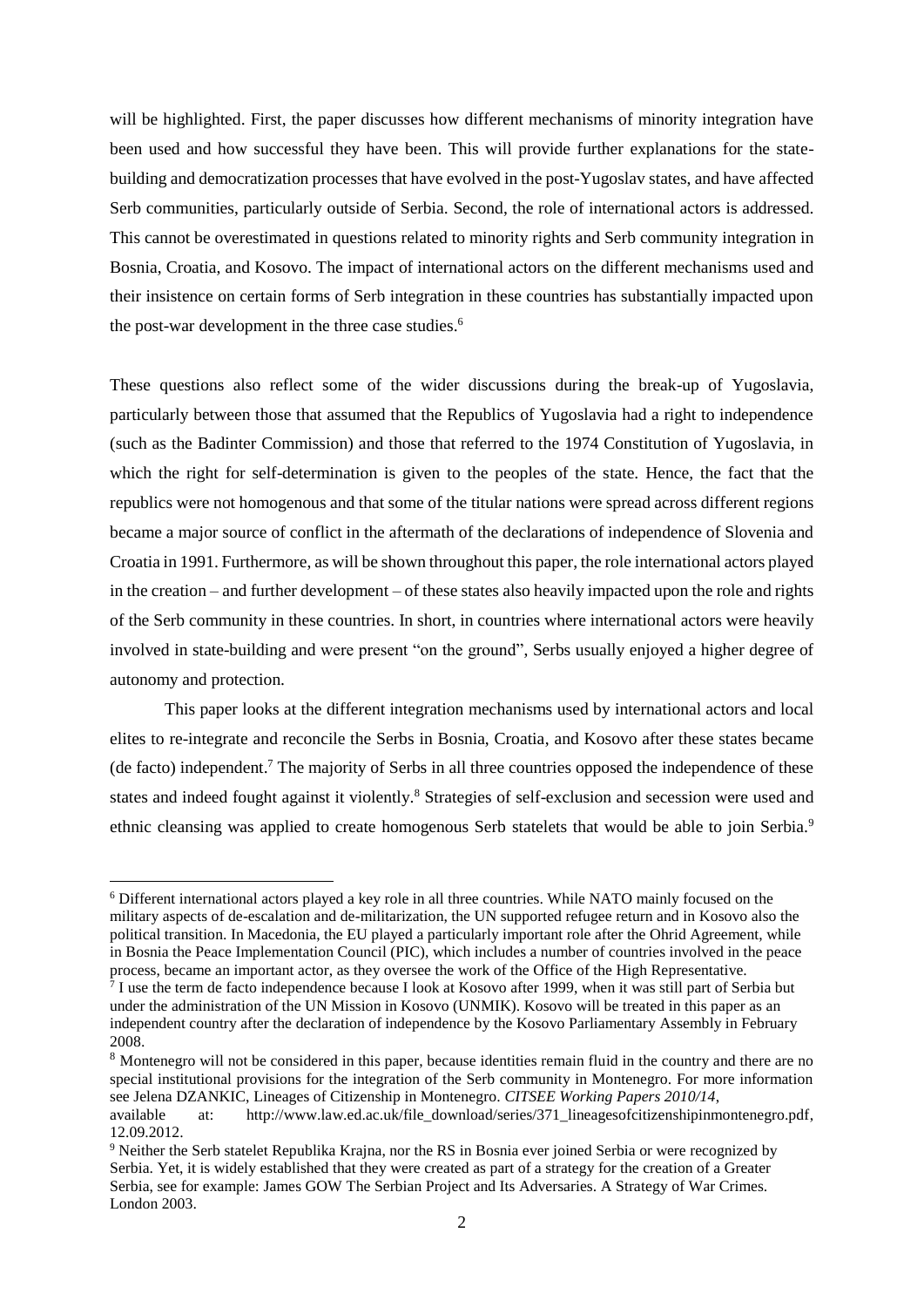will be highlighted. First, the paper discusses how different mechanisms of minority integration have been used and how successful they have been. This will provide further explanations for the statebuilding and democratization processes that have evolved in the post-Yugoslav states, and have affected Serb communities, particularly outside of Serbia. Second, the role of international actors is addressed. This cannot be overestimated in questions related to minority rights and Serb community integration in Bosnia, Croatia, and Kosovo. The impact of international actors on the different mechanisms used and their insistence on certain forms of Serb integration in these countries has substantially impacted upon the post-war development in the three case studies.<sup>6</sup>

These questions also reflect some of the wider discussions during the break-up of Yugoslavia, particularly between those that assumed that the Republics of Yugoslavia had a right to independence (such as the Badinter Commission) and those that referred to the 1974 Constitution of Yugoslavia, in which the right for self-determination is given to the peoples of the state. Hence, the fact that the republics were not homogenous and that some of the titular nations were spread across different regions became a major source of conflict in the aftermath of the declarations of independence of Slovenia and Croatia in 1991. Furthermore, as will be shown throughout this paper, the role international actors played in the creation – and further development – of these states also heavily impacted upon the role and rights of the Serb community in these countries. In short, in countries where international actors were heavily involved in state-building and were present "on the ground", Serbs usually enjoyed a higher degree of autonomy and protection.

This paper looks at the different integration mechanisms used by international actors and local elites to re-integrate and reconcile the Serbs in Bosnia, Croatia, and Kosovo after these states became (de facto) independent.<sup>7</sup> The majority of Serbs in all three countries opposed the independence of these states and indeed fought against it violently.<sup>8</sup> Strategies of self-exclusion and secession were used and ethnic cleansing was applied to create homogenous Serb statelets that would be able to join Serbia.<sup>9</sup>

<sup>6</sup> Different international actors played a key role in all three countries. While NATO mainly focused on the military aspects of de-escalation and de-militarization, the UN supported refugee return and in Kosovo also the political transition. In Macedonia, the EU played a particularly important role after the Ohrid Agreement, while in Bosnia the Peace Implementation Council (PIC), which includes a number of countries involved in the peace process, became an important actor, as they oversee the work of the Office of the High Representative.

<sup>&</sup>lt;sup>7</sup> I use the term de facto independence because I look at Kosovo after 1999, when it was still part of Serbia but under the administration of the UN Mission in Kosovo (UNMIK). Kosovo will be treated in this paper as an independent country after the declaration of independence by the Kosovo Parliamentary Assembly in February 2008.

<sup>&</sup>lt;sup>8</sup> Montenegro will not be considered in this paper, because identities remain fluid in the country and there are no special institutional provisions for the integration of the Serb community in Montenegro. For more information see Jelena DZANKIC, Lineages of Citizenship in Montenegro. *CITSEE Working Papers 2010/14*,

available at: [http://www.law.ed.ac.uk/file\\_download/series/371\\_lineagesofcitizenshipinmontenegro.pdf,](http://www.law.ed.ac.uk/file_download/series/371_lineagesofcitizenshipinmontenegro.pdf) 12.09.2012.

<sup>9</sup> Neither the Serb statelet Republika Krajna, nor the RS in Bosnia ever joined Serbia or were recognized by Serbia. Yet, it is widely established that they were created as part of a strategy for the creation of a Greater Serbia, see for example: James GOW The Serbian Project and Its Adversaries. A Strategy of War Crimes. London 2003.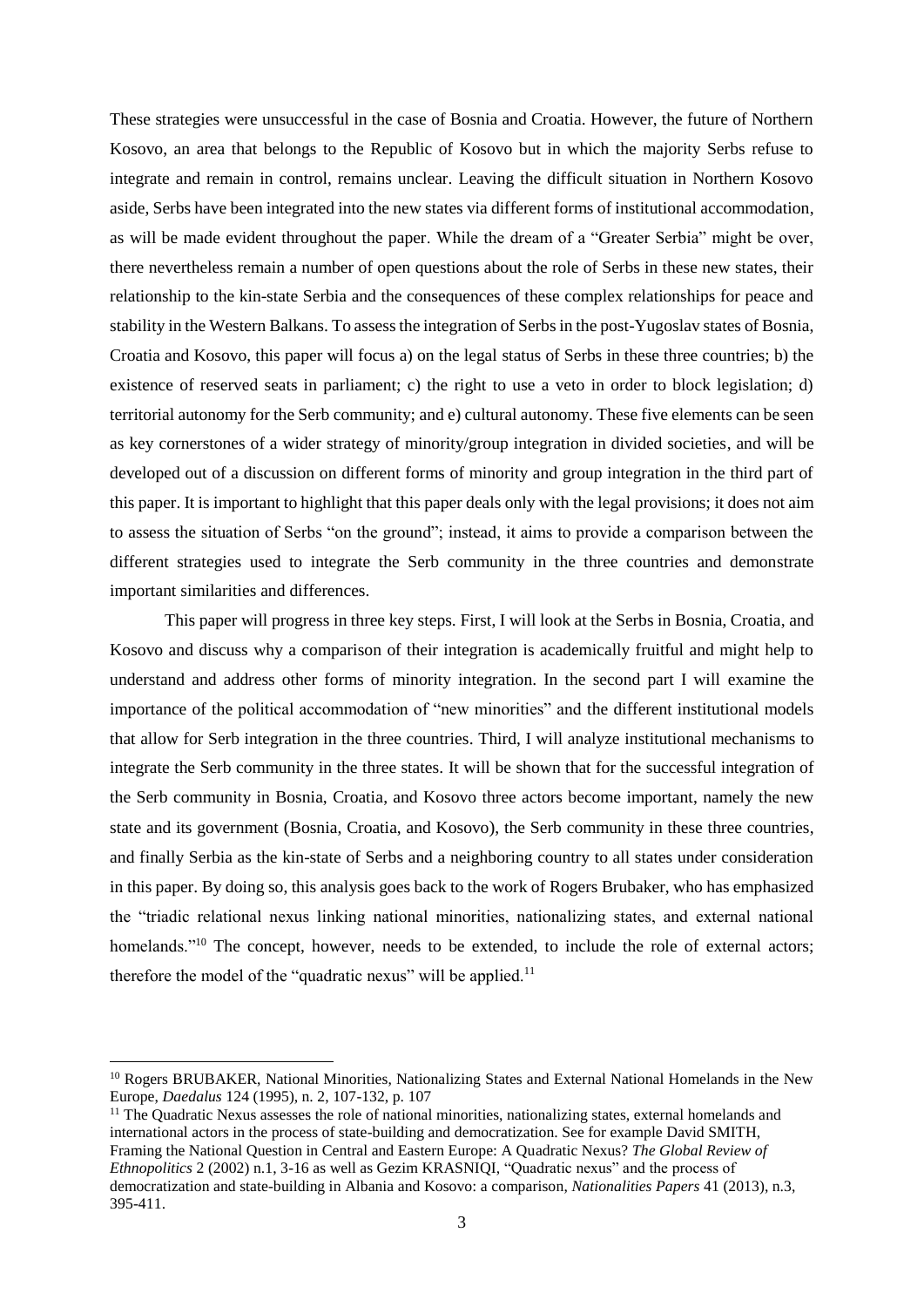These strategies were unsuccessful in the case of Bosnia and Croatia. However, the future of Northern Kosovo, an area that belongs to the Republic of Kosovo but in which the majority Serbs refuse to integrate and remain in control, remains unclear. Leaving the difficult situation in Northern Kosovo aside, Serbs have been integrated into the new states via different forms of institutional accommodation, as will be made evident throughout the paper. While the dream of a "Greater Serbia" might be over, there nevertheless remain a number of open questions about the role of Serbs in these new states, their relationship to the kin-state Serbia and the consequences of these complex relationships for peace and stability in the Western Balkans. To assess the integration of Serbs in the post-Yugoslav states of Bosnia, Croatia and Kosovo, this paper will focus a) on the legal status of Serbs in these three countries; b) the existence of reserved seats in parliament; c) the right to use a veto in order to block legislation; d) territorial autonomy for the Serb community; and e) cultural autonomy. These five elements can be seen as key cornerstones of a wider strategy of minority/group integration in divided societies, and will be developed out of a discussion on different forms of minority and group integration in the third part of this paper. It is important to highlight that this paper deals only with the legal provisions; it does not aim to assess the situation of Serbs "on the ground"; instead, it aims to provide a comparison between the different strategies used to integrate the Serb community in the three countries and demonstrate important similarities and differences.

This paper will progress in three key steps. First, I will look at the Serbs in Bosnia, Croatia, and Kosovo and discuss why a comparison of their integration is academically fruitful and might help to understand and address other forms of minority integration. In the second part I will examine the importance of the political accommodation of "new minorities" and the different institutional models that allow for Serb integration in the three countries. Third, I will analyze institutional mechanisms to integrate the Serb community in the three states. It will be shown that for the successful integration of the Serb community in Bosnia, Croatia, and Kosovo three actors become important, namely the new state and its government (Bosnia, Croatia, and Kosovo), the Serb community in these three countries, and finally Serbia as the kin-state of Serbs and a neighboring country to all states under consideration in this paper. By doing so, this analysis goes back to the work of Rogers Brubaker, who has emphasized the "triadic relational nexus linking national minorities, nationalizing states, and external national homelands."<sup>10</sup> The concept, however, needs to be extended, to include the role of external actors; therefore the model of the "quadratic nexus" will be applied. $11$ 

<sup>&</sup>lt;sup>10</sup> Rogers BRUBAKER, National Minorities, Nationalizing States and External National Homelands in the New Europe, *Daedalus* 124 (1995), n. 2, 107-132, p. 107

 $11$  The Quadratic Nexus assesses the role of national minorities, nationalizing states, external homelands and international actors in the process of state-building and democratization. See for example David SMITH, Framing the National Question in Central and Eastern Europe: A Quadratic Nexus? *The Global Review of Ethnopolitics* 2 (2002) n.1, 3-16 as well as Gezim KRASNIQI, "Quadratic nexus" and the process of democratization and state-building in Albania and Kosovo: a comparison, *Nationalities Papers* 41 (2013), n.3, 395-411.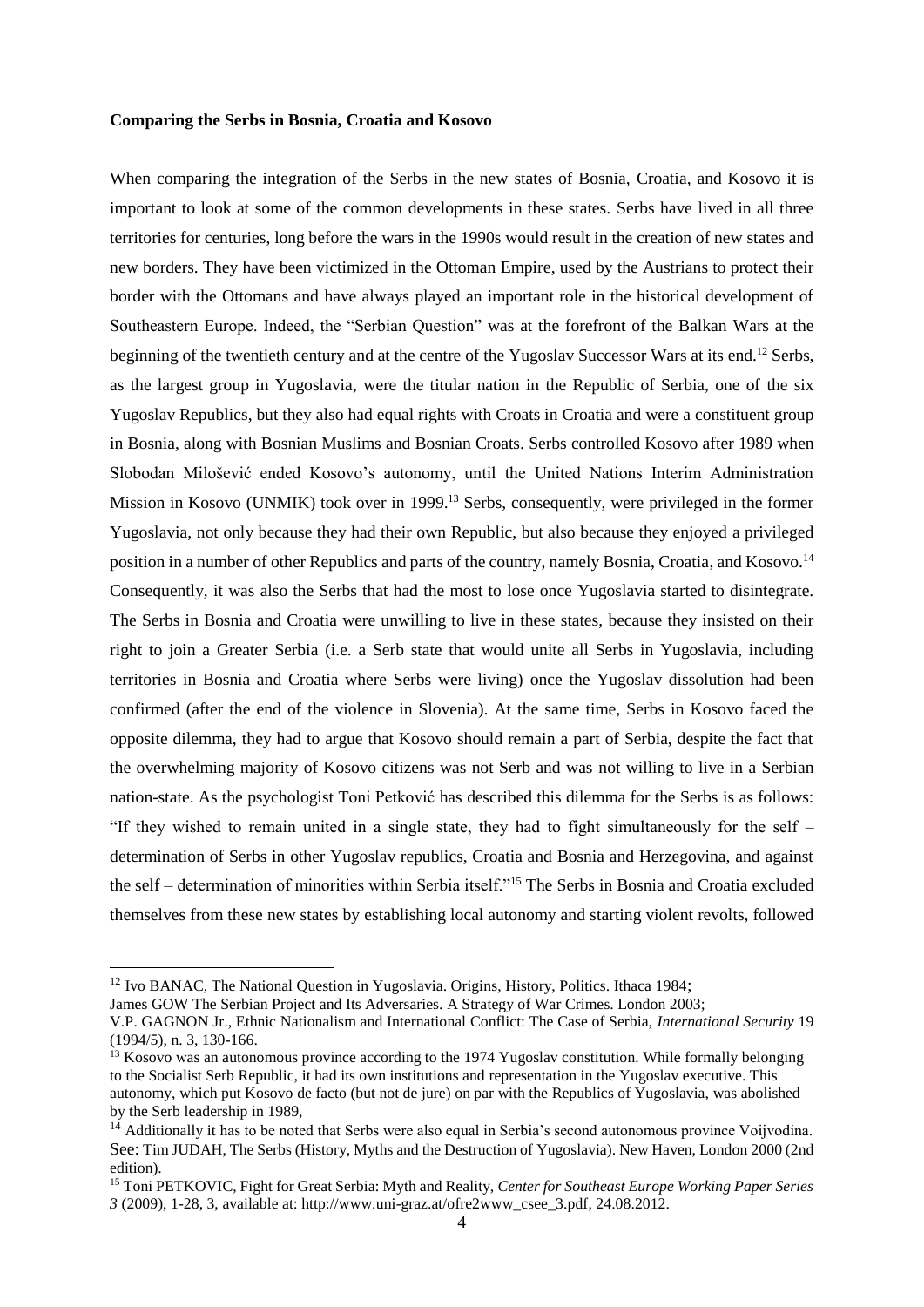### **Comparing the Serbs in Bosnia, Croatia and Kosovo**

When comparing the integration of the Serbs in the new states of Bosnia, Croatia, and Kosovo it is important to look at some of the common developments in these states. Serbs have lived in all three territories for centuries, long before the wars in the 1990s would result in the creation of new states and new borders. They have been victimized in the Ottoman Empire, used by the Austrians to protect their border with the Ottomans and have always played an important role in the historical development of Southeastern Europe. Indeed, the "Serbian Question" was at the forefront of the Balkan Wars at the beginning of the twentieth century and at the centre of the Yugoslav Successor Wars at its end.<sup>12</sup> Serbs, as the largest group in Yugoslavia, were the titular nation in the Republic of Serbia, one of the six Yugoslav Republics, but they also had equal rights with Croats in Croatia and were a constituent group in Bosnia, along with Bosnian Muslims and Bosnian Croats. Serbs controlled Kosovo after 1989 when Slobodan Milošević ended Kosovo's autonomy, until the United Nations Interim Administration Mission in Kosovo (UNMIK) took over in 1999.<sup>13</sup> Serbs, consequently, were privileged in the former Yugoslavia, not only because they had their own Republic, but also because they enjoyed a privileged position in a number of other Republics and parts of the country, namely Bosnia, Croatia, and Kosovo.<sup>14</sup> Consequently, it was also the Serbs that had the most to lose once Yugoslavia started to disintegrate. The Serbs in Bosnia and Croatia were unwilling to live in these states, because they insisted on their right to join a Greater Serbia (i.e. a Serb state that would unite all Serbs in Yugoslavia, including territories in Bosnia and Croatia where Serbs were living) once the Yugoslav dissolution had been confirmed (after the end of the violence in Slovenia). At the same time, Serbs in Kosovo faced the opposite dilemma, they had to argue that Kosovo should remain a part of Serbia, despite the fact that the overwhelming majority of Kosovo citizens was not Serb and was not willing to live in a Serbian nation-state. As the psychologist Toni Petković has described this dilemma for the Serbs is as follows: "If they wished to remain united in a single state, they had to fight simultaneously for the self – determination of Serbs in other Yugoslav republics, Croatia and Bosnia and Herzegovina, and against the self – determination of minorities within Serbia itself."<sup>15</sup> The Serbs in Bosnia and Croatia excluded themselves from these new states by establishing local autonomy and starting violent revolts, followed

<sup>&</sup>lt;sup>12</sup> Ivo BANAC, The National Question in Yugoslavia. Origins, History, Politics. Ithaca 1984;

James GOW The Serbian Project and Its Adversaries. A Strategy of War Crimes. London 2003;

V.P. GAGNON Jr., Ethnic Nationalism and International Conflict: The Case of Serbia, *International Security* 19 (1994/5), n. 3, 130-166.

 $13$  Kosovo was an autonomous province according to the 1974 Yugoslav constitution. While formally belonging to the Socialist Serb Republic, it had its own institutions and representation in the Yugoslav executive. This autonomy, which put Kosovo de facto (but not de jure) on par with the Republics of Yugoslavia, was abolished by the Serb leadership in 1989,

<sup>&</sup>lt;sup>14</sup> Additionally it has to be noted that Serbs were also equal in Serbia's second autonomous province Voijvodina. See: Tim JUDAH, The Serbs (History, Myths and the Destruction of Yugoslavia). New Haven, London 2000 (2nd edition).

<sup>15</sup> Toni PETKOVIC, Fight for Great Serbia: Myth and Reality, *Center for Southeast Europe Working Paper Series 3* (2009), 1-28, 3, available at: [http://www.uni-graz.at/ofre2www\\_csee\\_3.pdf,](http://www.uni-graz.at/ofre2www_csee_3.pdf) 24.08.2012.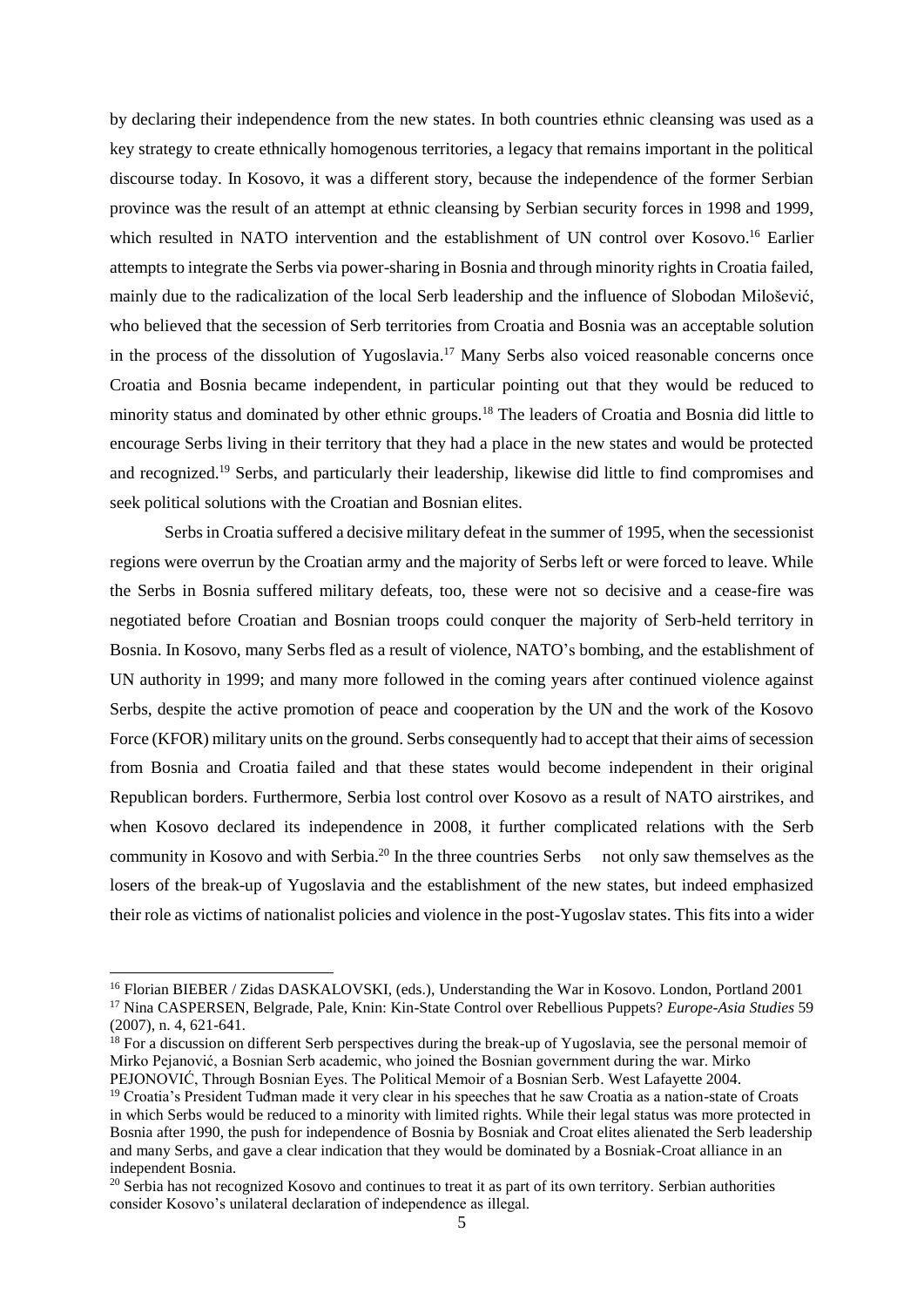by declaring their independence from the new states. In both countries ethnic cleansing was used as a key strategy to create ethnically homogenous territories, a legacy that remains important in the political discourse today. In Kosovo, it was a different story, because the independence of the former Serbian province was the result of an attempt at ethnic cleansing by Serbian security forces in 1998 and 1999, which resulted in NATO intervention and the establishment of UN control over Kosovo. <sup>16</sup> Earlier attempts to integrate the Serbs via power-sharing in Bosnia and through minority rights in Croatia failed, mainly due to the radicalization of the local Serb leadership and the influence of Slobodan Milošević, who believed that the secession of Serb territories from Croatia and Bosnia was an acceptable solution in the process of the dissolution of Yugoslavia. <sup>17</sup> Many Serbs also voiced reasonable concerns once Croatia and Bosnia became independent, in particular pointing out that they would be reduced to minority status and dominated by other ethnic groups.<sup>18</sup> The leaders of Croatia and Bosnia did little to encourage Serbs living in their territory that they had a place in the new states and would be protected and recognized.<sup>19</sup> Serbs, and particularly their leadership, likewise did little to find compromises and seek political solutions with the Croatian and Bosnian elites.

Serbs in Croatia suffered a decisive military defeat in the summer of 1995, when the secessionist regions were overrun by the Croatian army and the majority of Serbs left or were forced to leave. While the Serbs in Bosnia suffered military defeats, too, these were not so decisive and a cease-fire was negotiated before Croatian and Bosnian troops could conquer the majority of Serb-held territory in Bosnia. In Kosovo, many Serbs fled as a result of violence, NATO's bombing, and the establishment of UN authority in 1999; and many more followed in the coming years after continued violence against Serbs, despite the active promotion of peace and cooperation by the UN and the work of the Kosovo Force (KFOR) military units on the ground. Serbs consequently had to accept that their aims of secession from Bosnia and Croatia failed and that these states would become independent in their original Republican borders. Furthermore, Serbia lost control over Kosovo as a result of NATO airstrikes, and when Kosovo declared its independence in 2008, it further complicated relations with the Serb community in Kosovo and with Serbia.<sup>20</sup> In the three countries Serbs not only saw themselves as the losers of the break-up of Yugoslavia and the establishment of the new states, but indeed emphasized their role as victims of nationalist policies and violence in the post-Yugoslav states. This fits into a wider

<sup>16</sup> Florian BIEBER / Zidas DASKALOVSKI, (eds.), Understanding the War in Kosovo. London, Portland 2001 <sup>17</sup> Nina CASPERSEN, Belgrade, Pale, Knin: Kin-State Control over Rebellious Puppets? *Europe-Asia Studies* 59 (2007), n. 4, 621-641.

 $18$  For a discussion on different Serb perspectives during the break-up of Yugoslavia, see the personal memoir of Mirko Pejanović, a Bosnian Serb academic, who joined the Bosnian government during the war. Mirko PEJONOVIĆ, Through Bosnian Eyes. The Political Memoir of a Bosnian Serb. West Lafayette 2004.

<sup>&</sup>lt;sup>19</sup> Croatia's President Tuđman made it very clear in his speeches that he saw Croatia as a nation-state of Croats in which Serbs would be reduced to a minority with limited rights. While their legal status was more protected in Bosnia after 1990, the push for independence of Bosnia by Bosniak and Croat elites alienated the Serb leadership and many Serbs, and gave a clear indication that they would be dominated by a Bosniak-Croat alliance in an independent Bosnia.

<sup>&</sup>lt;sup>20</sup> Serbia has not recognized Kosovo and continues to treat it as part of its own territory. Serbian authorities consider Kosovo's unilateral declaration of independence as illegal.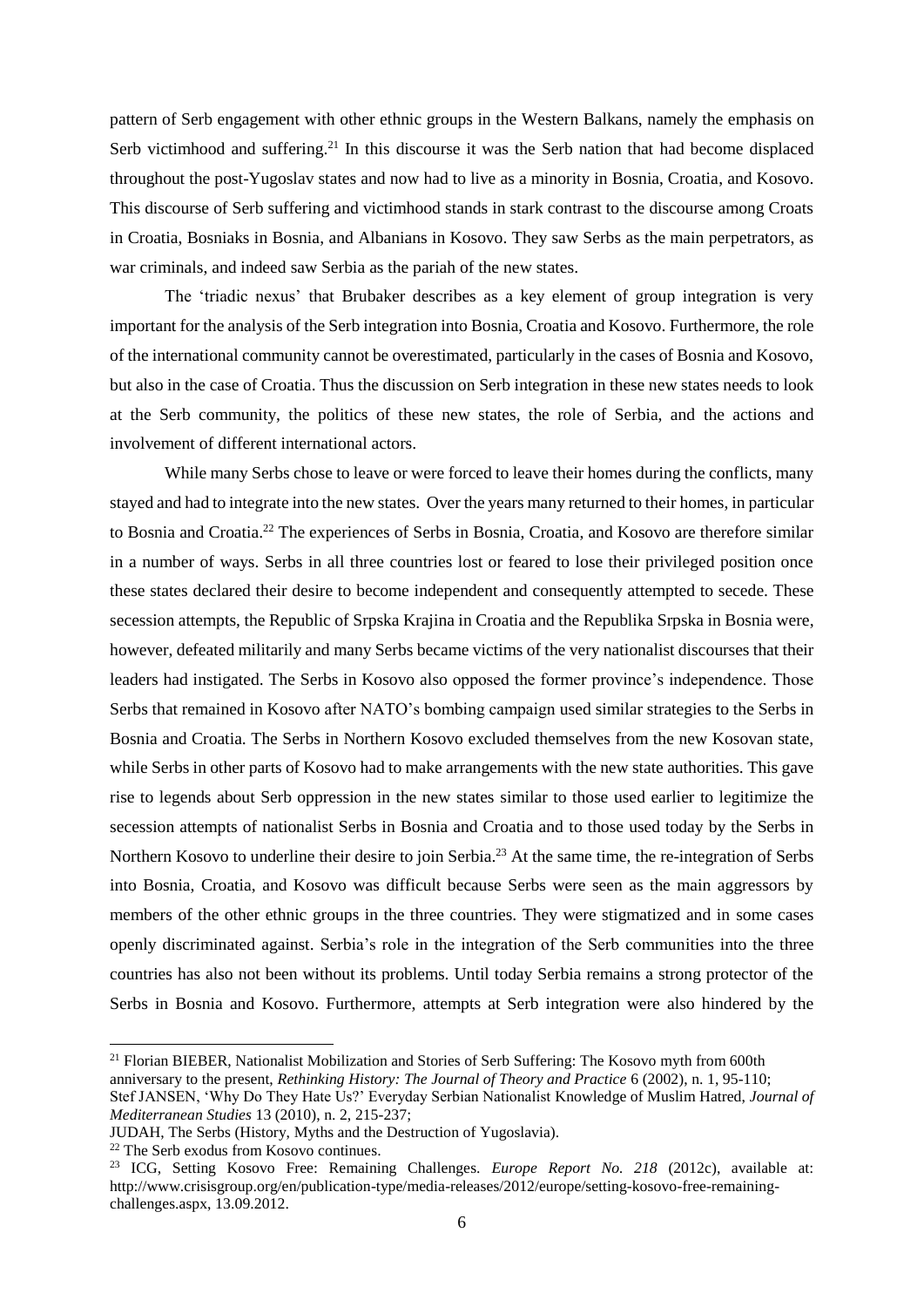pattern of Serb engagement with other ethnic groups in the Western Balkans, namely the emphasis on Serb victimhood and suffering.<sup>21</sup> In this discourse it was the Serb nation that had become displaced throughout the post-Yugoslav states and now had to live as a minority in Bosnia, Croatia, and Kosovo. This discourse of Serb suffering and victimhood stands in stark contrast to the discourse among Croats in Croatia, Bosniaks in Bosnia, and Albanians in Kosovo. They saw Serbs as the main perpetrators, as war criminals, and indeed saw Serbia as the pariah of the new states.

The 'triadic nexus' that Brubaker describes as a key element of group integration is very important for the analysis of the Serb integration into Bosnia, Croatia and Kosovo. Furthermore, the role of the international community cannot be overestimated, particularly in the cases of Bosnia and Kosovo, but also in the case of Croatia. Thus the discussion on Serb integration in these new states needs to look at the Serb community, the politics of these new states, the role of Serbia, and the actions and involvement of different international actors.

While many Serbs chose to leave or were forced to leave their homes during the conflicts, many stayed and had to integrate into the new states. Over the years many returned to their homes, in particular to Bosnia and Croatia.<sup>22</sup> The experiences of Serbs in Bosnia, Croatia, and Kosovo are therefore similar in a number of ways. Serbs in all three countries lost or feared to lose their privileged position once these states declared their desire to become independent and consequently attempted to secede. These secession attempts, the Republic of Srpska Krajina in Croatia and the Republika Srpska in Bosnia were, however, defeated militarily and many Serbs became victims of the very nationalist discourses that their leaders had instigated. The Serbs in Kosovo also opposed the former province's independence. Those Serbs that remained in Kosovo after NATO's bombing campaign used similar strategies to the Serbs in Bosnia and Croatia. The Serbs in Northern Kosovo excluded themselves from the new Kosovan state, while Serbs in other parts of Kosovo had to make arrangements with the new state authorities. This gave rise to legends about Serb oppression in the new states similar to those used earlier to legitimize the secession attempts of nationalist Serbs in Bosnia and Croatia and to those used today by the Serbs in Northern Kosovo to underline their desire to join Serbia.<sup>23</sup> At the same time, the re-integration of Serbs into Bosnia, Croatia, and Kosovo was difficult because Serbs were seen as the main aggressors by members of the other ethnic groups in the three countries. They were stigmatized and in some cases openly discriminated against. Serbia's role in the integration of the Serb communities into the three countries has also not been without its problems. Until today Serbia remains a strong protector of the Serbs in Bosnia and Kosovo. Furthermore, attempts at Serb integration were also hindered by the

<sup>&</sup>lt;sup>21</sup> Florian BIEBER, Nationalist Mobilization and Stories of Serb Suffering: The Kosovo myth from 600th anniversary to the present, *Rethinking History: The Journal of Theory and Practice* 6 (2002), n. 1, 95-110; Stef JANSEN, 'Why Do They Hate Us?' Everyday Serbian Nationalist Knowledge of Muslim Hatred, *Journal of Mediterranean Studies* 13 (2010), n. 2, 215-237;

JUDAH, The Serbs (History, Myths and the Destruction of Yugoslavia).

<sup>22</sup> The Serb exodus from Kosovo continues.

<sup>23</sup> ICG, Setting Kosovo Free: Remaining Challenges. *Europe Report No. 218* (2012c), available at: [http://www.crisisgroup.org/en/publication-type/media-releases/2012/europe/setting-kosovo-free-remaining](http://www.crisisgroup.org/en/publication-type/media-releases/2012/europe/setting-kosovo-free-remaining-challenges.aspx)[challenges.aspx,](http://www.crisisgroup.org/en/publication-type/media-releases/2012/europe/setting-kosovo-free-remaining-challenges.aspx) 13.09.2012.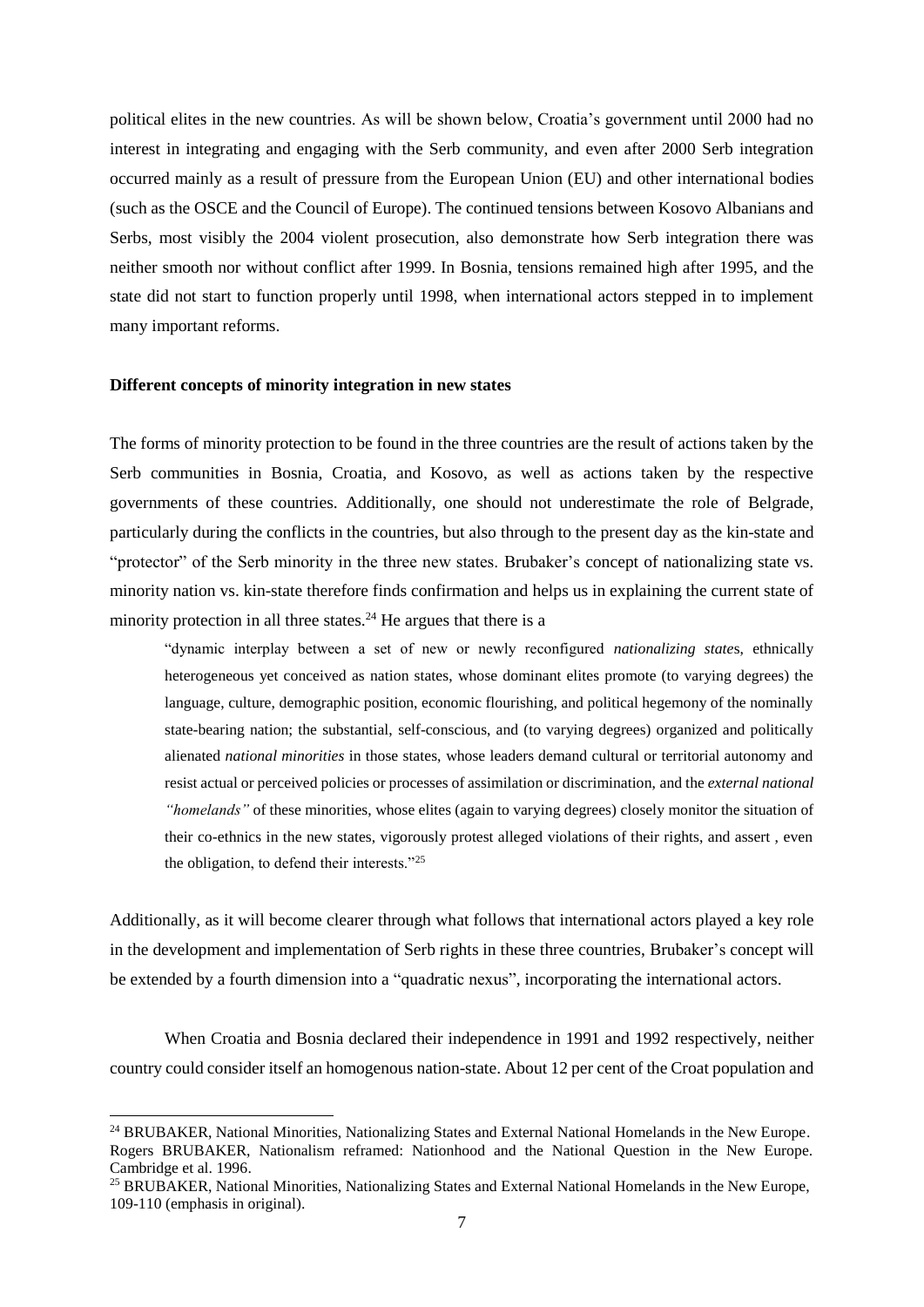political elites in the new countries. As will be shown below, Croatia's government until 2000 had no interest in integrating and engaging with the Serb community, and even after 2000 Serb integration occurred mainly as a result of pressure from the European Union (EU) and other international bodies (such as the OSCE and the Council of Europe). The continued tensions between Kosovo Albanians and Serbs, most visibly the 2004 violent prosecution, also demonstrate how Serb integration there was neither smooth nor without conflict after 1999. In Bosnia, tensions remained high after 1995, and the state did not start to function properly until 1998, when international actors stepped in to implement many important reforms.

# **Different concepts of minority integration in new states**

-

The forms of minority protection to be found in the three countries are the result of actions taken by the Serb communities in Bosnia, Croatia, and Kosovo, as well as actions taken by the respective governments of these countries. Additionally, one should not underestimate the role of Belgrade, particularly during the conflicts in the countries, but also through to the present day as the kin-state and "protector" of the Serb minority in the three new states. Brubaker's concept of nationalizing state vs. minority nation vs. kin-state therefore finds confirmation and helps us in explaining the current state of minority protection in all three states.<sup>24</sup> He argues that there is a

"dynamic interplay between a set of new or newly reconfigured *nationalizing state*s, ethnically heterogeneous yet conceived as nation states, whose dominant elites promote (to varying degrees) the language, culture, demographic position, economic flourishing, and political hegemony of the nominally state-bearing nation; the substantial, self-conscious, and (to varying degrees) organized and politically alienated *national minorities* in those states, whose leaders demand cultural or territorial autonomy and resist actual or perceived policies or processes of assimilation or discrimination, and the *external national "homelands"* of these minorities, whose elites (again to varying degrees) closely monitor the situation of their co-ethnics in the new states, vigorously protest alleged violations of their rights, and assert , even the obligation, to defend their interests."<sup>25</sup>

Additionally, as it will become clearer through what follows that international actors played a key role in the development and implementation of Serb rights in these three countries, Brubaker's concept will be extended by a fourth dimension into a "quadratic nexus", incorporating the international actors.

When Croatia and Bosnia declared their independence in 1991 and 1992 respectively, neither country could consider itself an homogenous nation-state. About 12 per cent of the Croat population and

<sup>&</sup>lt;sup>24</sup> BRUBAKER, National Minorities, Nationalizing States and External National Homelands in the New Europe. Rogers BRUBAKER, Nationalism reframed: Nationhood and the National Question in the New Europe. Cambridge et al. 1996.

<sup>&</sup>lt;sup>25</sup> BRUBAKER, National Minorities, Nationalizing States and External National Homelands in the New Europe, 109-110 (emphasis in original).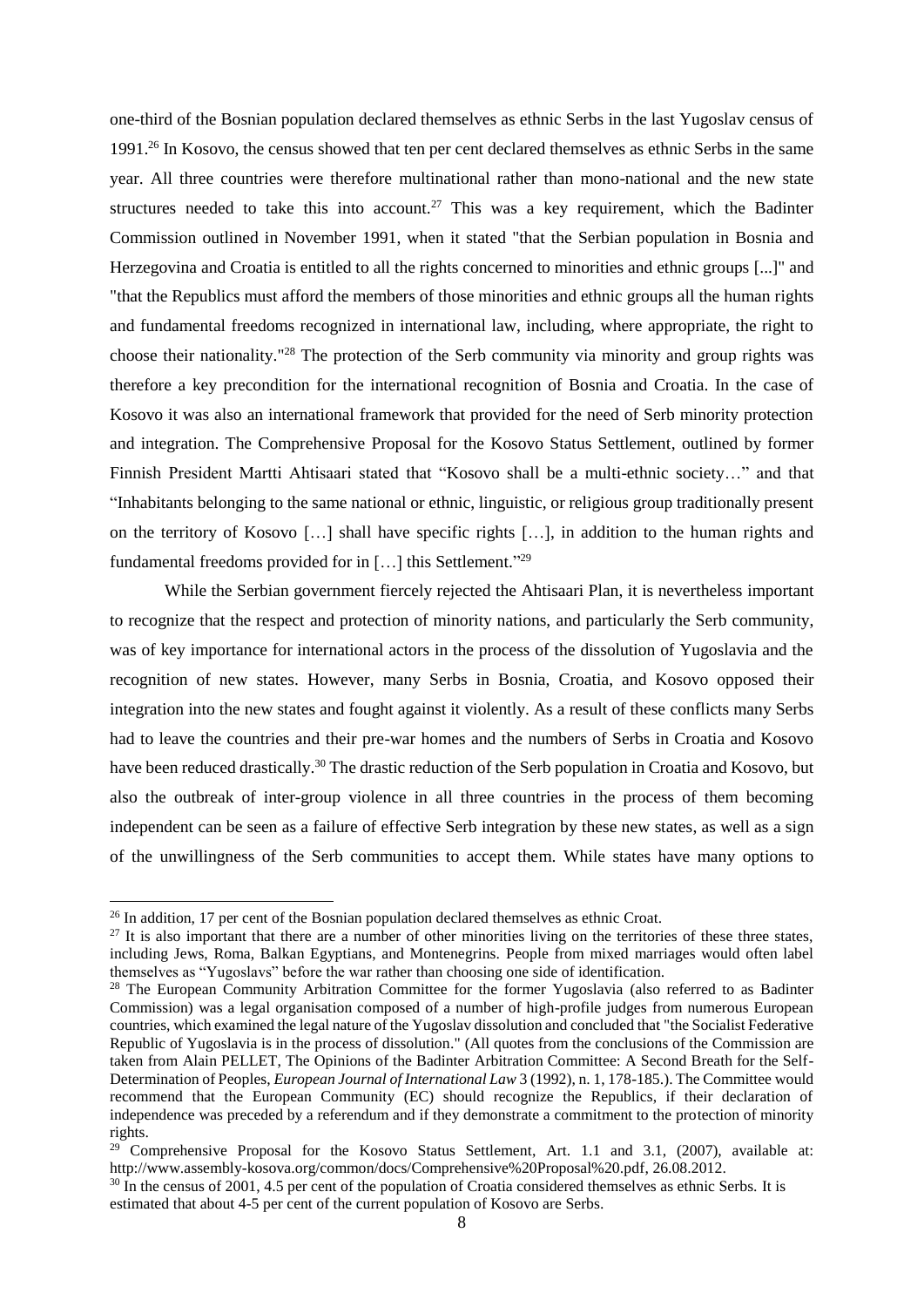one-third of the Bosnian population declared themselves as ethnic Serbs in the last Yugoslav census of 1991.<sup>26</sup> In Kosovo, the census showed that ten per cent declared themselves as ethnic Serbs in the same year. All three countries were therefore multinational rather than mono-national and the new state structures needed to take this into account.<sup>27</sup> This was a key requirement, which the Badinter Commission outlined in November 1991, when it stated "that the Serbian population in Bosnia and Herzegovina and Croatia is entitled to all the rights concerned to minorities and ethnic groups [...]" and "that the Republics must afford the members of those minorities and ethnic groups all the human rights and fundamental freedoms recognized in international law, including, where appropriate, the right to choose their nationality." <sup>28</sup> The protection of the Serb community via minority and group rights was therefore a key precondition for the international recognition of Bosnia and Croatia. In the case of Kosovo it was also an international framework that provided for the need of Serb minority protection and integration. The Comprehensive Proposal for the Kosovo Status Settlement, outlined by former Finnish President Martti Ahtisaari stated that "Kosovo shall be a multi-ethnic society…" and that "Inhabitants belonging to the same national or ethnic, linguistic, or religious group traditionally present on the territory of Kosovo […] shall have specific rights […], in addition to the human rights and fundamental freedoms provided for in [...] this Settlement."<sup>29</sup>

While the Serbian government fiercely rejected the Ahtisaari Plan, it is nevertheless important to recognize that the respect and protection of minority nations, and particularly the Serb community, was of key importance for international actors in the process of the dissolution of Yugoslavia and the recognition of new states. However, many Serbs in Bosnia, Croatia, and Kosovo opposed their integration into the new states and fought against it violently. As a result of these conflicts many Serbs had to leave the countries and their pre-war homes and the numbers of Serbs in Croatia and Kosovo have been reduced drastically.<sup>30</sup> The drastic reduction of the Serb population in Croatia and Kosovo, but also the outbreak of inter-group violence in all three countries in the process of them becoming independent can be seen as a failure of effective Serb integration by these new states, as well as a sign of the unwillingness of the Serb communities to accept them. While states have many options to

<sup>&</sup>lt;sup>26</sup> In addition, 17 per cent of the Bosnian population declared themselves as ethnic Croat.

 $^{27}$  It is also important that there are a number of other minorities living on the territories of these three states, including Jews, Roma, Balkan Egyptians, and Montenegrins. People from mixed marriages would often label themselves as "Yugoslavs" before the war rather than choosing one side of identification.

<sup>&</sup>lt;sup>28</sup> The European Community Arbitration Committee for the former Yugoslavia (also referred to as Badinter Commission) was a legal organisation composed of a number of high-profile judges from numerous European countries, which examined the legal nature of the Yugoslav dissolution and concluded that "the Socialist Federative Republic of Yugoslavia is in the process of dissolution." (All quotes from the conclusions of the Commission are taken from Alain PELLET, The Opinions of the Badinter Arbitration Committee: A Second Breath for the Self-Determination of Peoples, *European Journal of International Law* 3 (1992), n. 1, 178-185.). The Committee would recommend that the European Community (EC) should recognize the Republics, if their declaration of independence was preceded by a referendum and if they demonstrate a commitment to the protection of minority rights.

 $29$  Comprehensive Proposal for the Kosovo Status Settlement, Art. 1.1 and 3.1, (2007), available at: [http://www.assembly-kosova.org/common/docs/Comprehensive%20Proposal%20.pdf,](http://www.assembly-kosova.org/common/docs/Comprehensive%20Proposal%20.pdf) 26.08.2012.

<sup>&</sup>lt;sup>30</sup> In the census of 2001, 4.5 per cent of the population of Croatia considered themselves as ethnic Serbs. It is estimated that about 4-5 per cent of the current population of Kosovo are Serbs.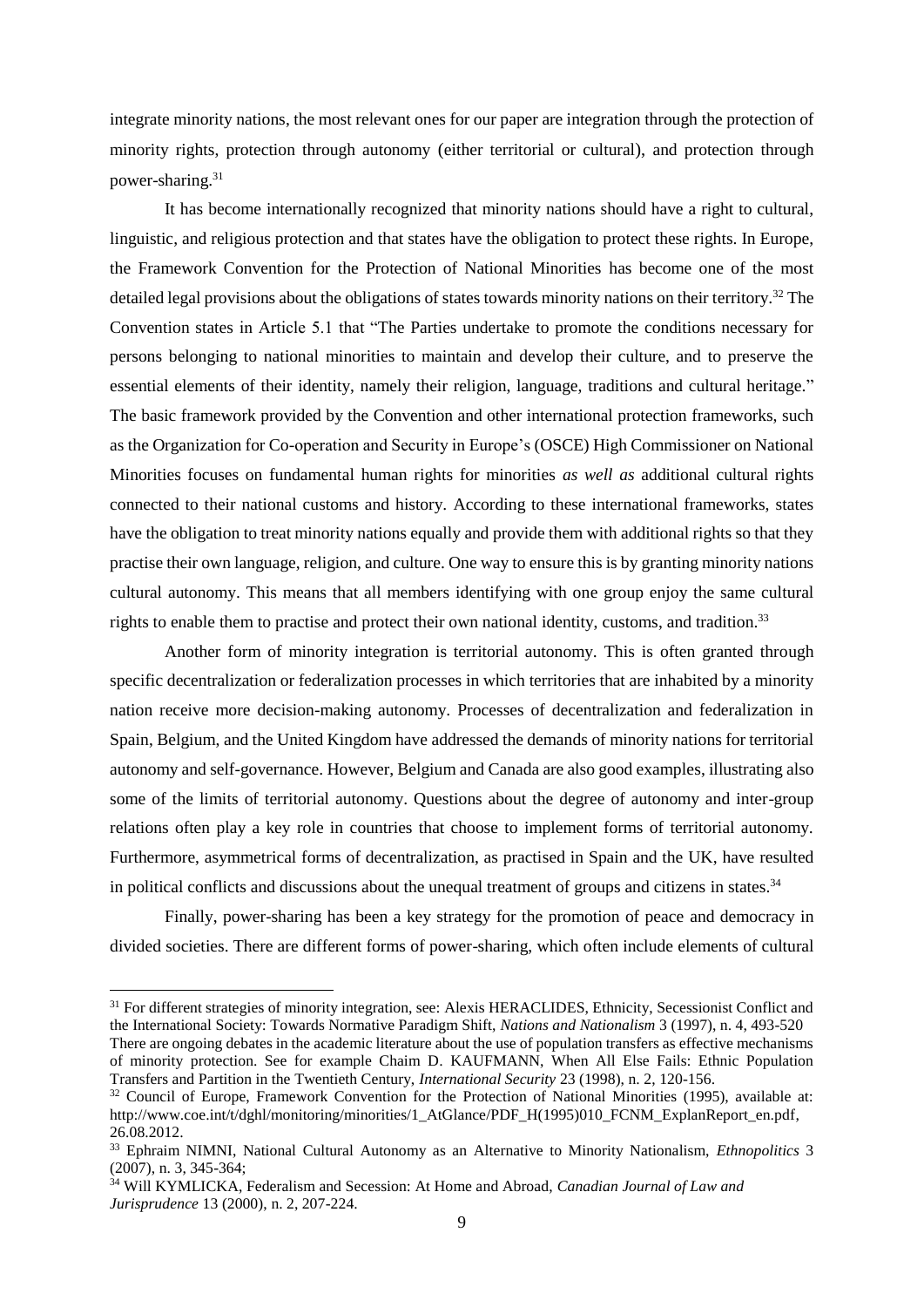integrate minority nations, the most relevant ones for our paper are integration through the protection of minority rights, protection through autonomy (either territorial or cultural), and protection through power-sharing.<sup>31</sup>

It has become internationally recognized that minority nations should have a right to cultural, linguistic, and religious protection and that states have the obligation to protect these rights. In Europe, the Framework Convention for the Protection of National Minorities has become one of the most detailed legal provisions about the obligations of states towards minority nations on their territory.<sup>32</sup> The Convention states in Article 5.1 that "The Parties undertake to promote the conditions necessary for persons belonging to national minorities to maintain and develop their culture, and to preserve the essential elements of their identity, namely their religion, language, traditions and cultural heritage." The basic framework provided by the Convention and other international protection frameworks, such as the Organization for Co-operation and Security in Europe's (OSCE) High Commissioner on National Minorities focuses on fundamental human rights for minorities *as well as* additional cultural rights connected to their national customs and history. According to these international frameworks, states have the obligation to treat minority nations equally and provide them with additional rights so that they practise their own language, religion, and culture. One way to ensure this is by granting minority nations cultural autonomy. This means that all members identifying with one group enjoy the same cultural rights to enable them to practise and protect their own national identity, customs, and tradition.<sup>33</sup>

Another form of minority integration is territorial autonomy. This is often granted through specific decentralization or federalization processes in which territories that are inhabited by a minority nation receive more decision-making autonomy. Processes of decentralization and federalization in Spain, Belgium, and the United Kingdom have addressed the demands of minority nations for territorial autonomy and self-governance. However, Belgium and Canada are also good examples, illustrating also some of the limits of territorial autonomy. Questions about the degree of autonomy and inter-group relations often play a key role in countries that choose to implement forms of territorial autonomy. Furthermore, asymmetrical forms of decentralization, as practised in Spain and the UK, have resulted in political conflicts and discussions about the unequal treatment of groups and citizens in states.<sup>34</sup>

Finally, power-sharing has been a key strategy for the promotion of peace and democracy in divided societies. There are different forms of power-sharing, which often include elements of cultural

<sup>&</sup>lt;sup>31</sup> For different strategies of minority integration, see: Alexis HERACLIDES, Ethnicity, Secessionist Conflict and the International Society: Towards Normative Paradigm Shift, *Nations and Nationalism* 3 (1997), n. 4, 493-520 There are ongoing debates in the academic literature about the use of population transfers as effective mechanisms of minority protection. See for example Chaim D. KAUFMANN, When All Else Fails: Ethnic Population Transfers and Partition in the Twentieth Century, *International Security* 23 (1998), n. 2, 120-156.

<sup>&</sup>lt;sup>32</sup> Council of Europe, Framework Convention for the Protection of National Minorities (1995), available at: [http://www.coe.int/t/dghl/monitoring/minorities/1\\_AtGlance/PDF\\_H\(1995\)010\\_FCNM\\_ExplanReport\\_en.pdf,](http://www.coe.int/t/dghl/monitoring/minorities/1_AtGlance/PDF_H(1995)010_FCNM_ExplanReport_en.pdf) 26.08.2012.

<sup>33</sup> Ephraim NIMNI, National Cultural Autonomy as an Alternative to Minority Nationalism, *Ethnopolitics* 3 (2007), n. 3, 345-364;

<sup>34</sup> Will KYMLICKA, Federalism and Secession: At Home and Abroad, *Canadian Journal of Law and Jurisprudence* 13 (2000), n. 2, 207-224.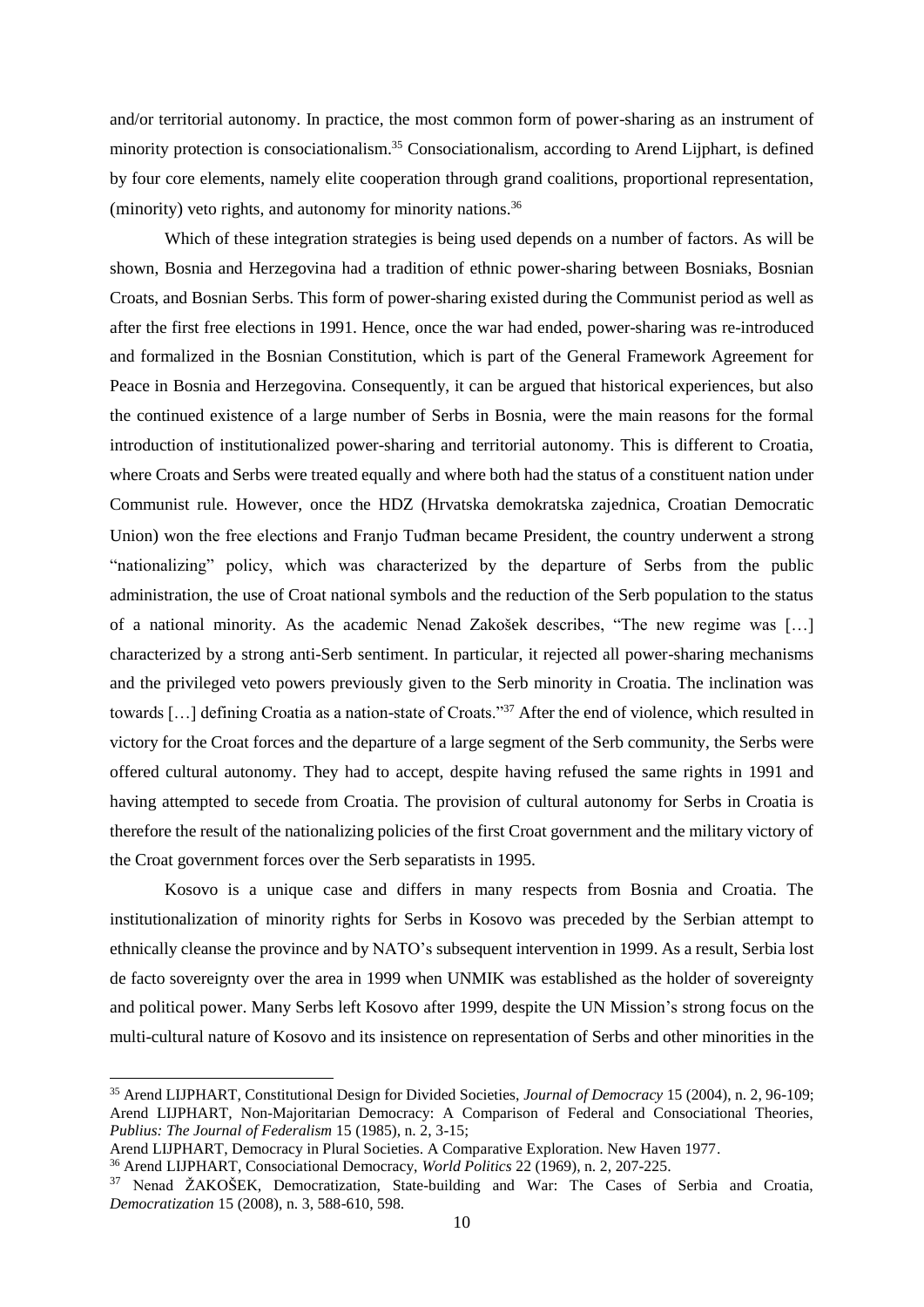and/or territorial autonomy. In practice, the most common form of power-sharing as an instrument of minority protection is consociationalism. <sup>35</sup> Consociationalism, according to Arend Lijphart, is defined by four core elements, namely elite cooperation through grand coalitions, proportional representation, (minority) veto rights, and autonomy for minority nations.<sup>36</sup>

Which of these integration strategies is being used depends on a number of factors. As will be shown, Bosnia and Herzegovina had a tradition of ethnic power-sharing between Bosniaks, Bosnian Croats, and Bosnian Serbs. This form of power-sharing existed during the Communist period as well as after the first free elections in 1991. Hence, once the war had ended, power-sharing was re-introduced and formalized in the Bosnian Constitution, which is part of the General Framework Agreement for Peace in Bosnia and Herzegovina. Consequently, it can be argued that historical experiences, but also the continued existence of a large number of Serbs in Bosnia, were the main reasons for the formal introduction of institutionalized power-sharing and territorial autonomy. This is different to Croatia, where Croats and Serbs were treated equally and where both had the status of a constituent nation under Communist rule. However, once the HDZ (Hrvatska demokratska zajednica, Croatian Democratic Union) won the free elections and Franjo Tuđman became President, the country underwent a strong "nationalizing" policy, which was characterized by the departure of Serbs from the public administration, the use of Croat national symbols and the reduction of the Serb population to the status of a national minority. As the academic Nenad Zakošek describes, "The new regime was […] characterized by a strong anti-Serb sentiment. In particular, it rejected all power-sharing mechanisms and the privileged veto powers previously given to the Serb minority in Croatia. The inclination was towards […] defining Croatia as a nation-state of Croats."<sup>37</sup> After the end of violence, which resulted in victory for the Croat forces and the departure of a large segment of the Serb community, the Serbs were offered cultural autonomy. They had to accept, despite having refused the same rights in 1991 and having attempted to secede from Croatia. The provision of cultural autonomy for Serbs in Croatia is therefore the result of the nationalizing policies of the first Croat government and the military victory of the Croat government forces over the Serb separatists in 1995.

Kosovo is a unique case and differs in many respects from Bosnia and Croatia. The institutionalization of minority rights for Serbs in Kosovo was preceded by the Serbian attempt to ethnically cleanse the province and by NATO's subsequent intervention in 1999. As a result, Serbia lost de facto sovereignty over the area in 1999 when UNMIK was established as the holder of sovereignty and political power. Many Serbs left Kosovo after 1999, despite the UN Mission's strong focus on the multi-cultural nature of Kosovo and its insistence on representation of Serbs and other minorities in the

<sup>35</sup> Arend LIJPHART, Constitutional Design for Divided Societies, *Journal of Democracy* 15 (2004), n. 2, 96-109; Arend LIJPHART, Non-Majoritarian Democracy: A Comparison of Federal and Consociational Theories, *Publius: The Journal of Federalism* 15 (1985), n. 2, 3-15;

Arend LIJPHART, Democracy in Plural Societies. A Comparative Exploration. New Haven 1977.

<sup>36</sup> Arend LIJPHART, Consociational Democracy, *World Politics* 22 (1969), n. 2, 207-225.

<sup>37</sup> Nenad ŽAKOŠEK, Democratization, State-building and War: The Cases of Serbia and Croatia, *Democratization* 15 (2008), n. 3, 588-610, 598.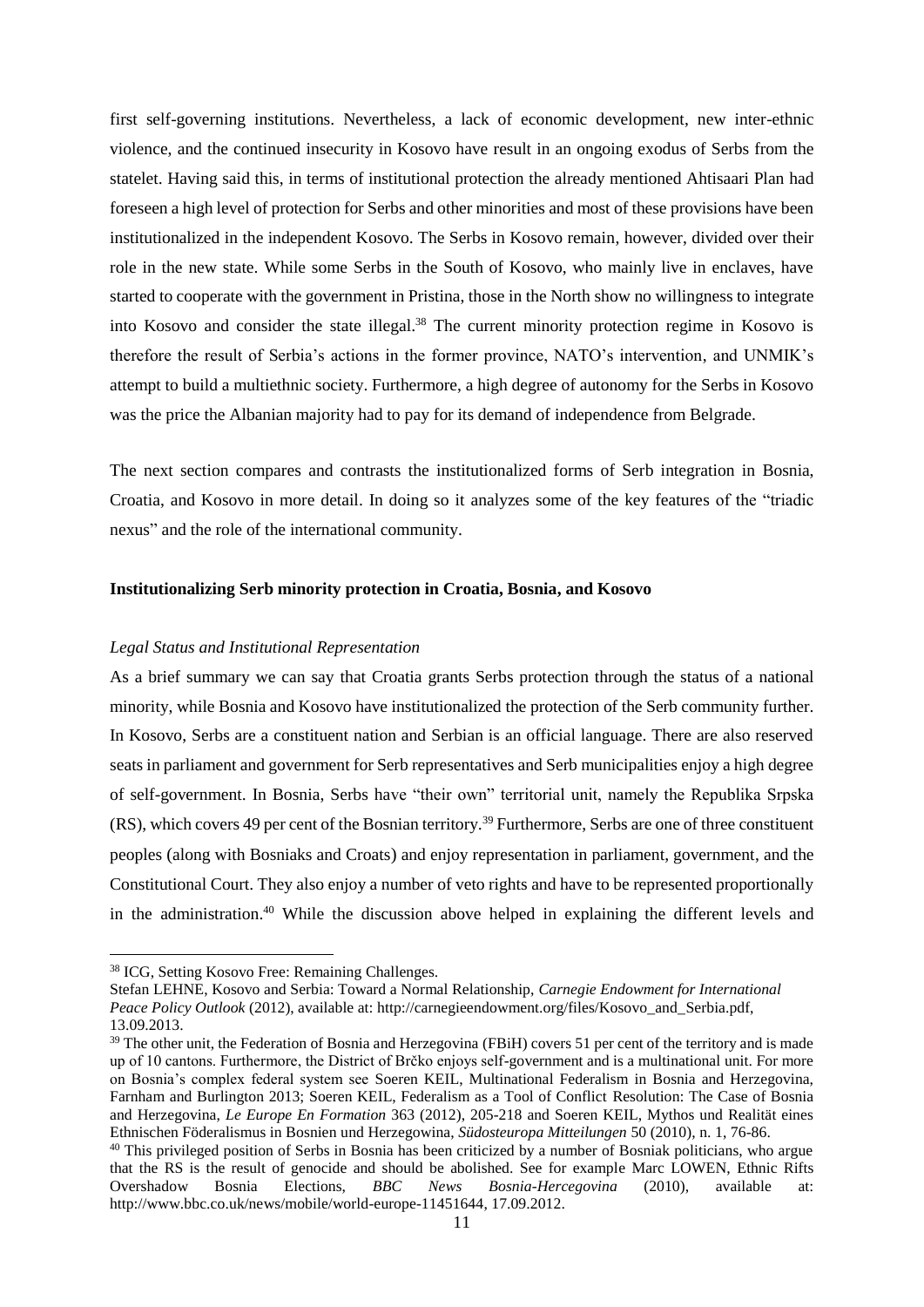first self-governing institutions. Nevertheless, a lack of economic development, new inter-ethnic violence, and the continued insecurity in Kosovo have result in an ongoing exodus of Serbs from the statelet. Having said this, in terms of institutional protection the already mentioned Ahtisaari Plan had foreseen a high level of protection for Serbs and other minorities and most of these provisions have been institutionalized in the independent Kosovo. The Serbs in Kosovo remain, however, divided over their role in the new state. While some Serbs in the South of Kosovo, who mainly live in enclaves, have started to cooperate with the government in Pristina, those in the North show no willingness to integrate into Kosovo and consider the state illegal. <sup>38</sup> The current minority protection regime in Kosovo is therefore the result of Serbia's actions in the former province, NATO's intervention, and UNMIK's attempt to build a multiethnic society. Furthermore, a high degree of autonomy for the Serbs in Kosovo was the price the Albanian majority had to pay for its demand of independence from Belgrade.

The next section compares and contrasts the institutionalized forms of Serb integration in Bosnia, Croatia, and Kosovo in more detail. In doing so it analyzes some of the key features of the "triadic nexus" and the role of the international community.

# **Institutionalizing Serb minority protection in Croatia, Bosnia, and Kosovo**

#### *Legal Status and Institutional Representation*

As a brief summary we can say that Croatia grants Serbs protection through the status of a national minority, while Bosnia and Kosovo have institutionalized the protection of the Serb community further. In Kosovo, Serbs are a constituent nation and Serbian is an official language. There are also reserved seats in parliament and government for Serb representatives and Serb municipalities enjoy a high degree of self-government. In Bosnia, Serbs have "their own" territorial unit, namely the Republika Srpska (RS), which covers 49 per cent of the Bosnian territory.<sup>39</sup> Furthermore, Serbs are one of three constituent peoples (along with Bosniaks and Croats) and enjoy representation in parliament, government, and the Constitutional Court. They also enjoy a number of veto rights and have to be represented proportionally in the administration.<sup>40</sup> While the discussion above helped in explaining the different levels and

<sup>38</sup> ICG, Setting Kosovo Free: Remaining Challenges.

Stefan LEHNE, Kosovo and Serbia: Toward a Normal Relationship, *Carnegie Endowment for International Peace Policy Outlook* (2012), available at: [http://carnegieendowment.org/files/Kosovo\\_and\\_Serbia.pdf,](http://carnegieendowment.org/files/Kosovo_and_Serbia.pdf) 13.09.2013.

<sup>&</sup>lt;sup>39</sup> The other unit, the Federation of Bosnia and Herzegovina (FBiH) covers 51 per cent of the territory and is made up of 10 cantons. Furthermore, the District of Brčko enjoys self-government and is a multinational unit. For more on Bosnia's complex federal system see Soeren KEIL, Multinational Federalism in Bosnia and Herzegovina, Farnham and Burlington 2013; Soeren KEIL, Federalism as a Tool of Conflict Resolution: The Case of Bosnia and Herzegovina, *Le Europe En Formation* 363 (2012), 205-218 and Soeren KEIL, Mythos und Realität eines Ethnischen Föderalismus in Bosnien und Herzegowina, *Südosteuropa Mitteilungen* 50 (2010), n. 1, 76-86.

 $40$  This privileged position of Serbs in Bosnia has been criticized by a number of Bosniak politicians, who argue that the RS is the result of genocide and should be abolished. See for example Marc LOWEN, Ethnic Rifts Overshadow Bosnia Elections, *BBC News Bosnia-Hercegovina* (2010), available at: [http://www.bbc.co.uk/news/mobile/world-europe-11451644,](http://www.bbc.co.uk/news/mobile/world-europe-11451644) 17.09.2012.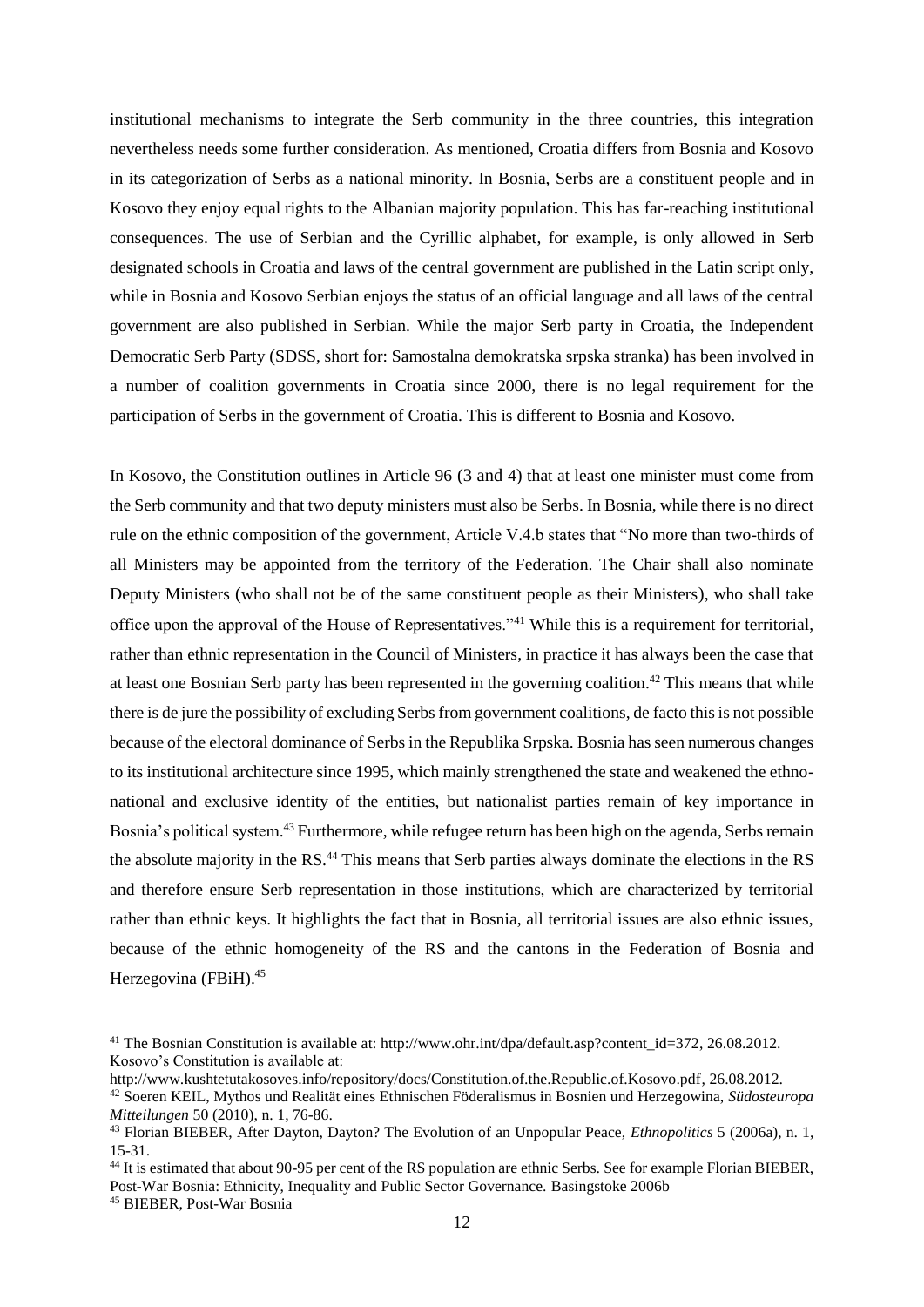institutional mechanisms to integrate the Serb community in the three countries, this integration nevertheless needs some further consideration. As mentioned, Croatia differs from Bosnia and Kosovo in its categorization of Serbs as a national minority. In Bosnia, Serbs are a constituent people and in Kosovo they enjoy equal rights to the Albanian majority population. This has far-reaching institutional consequences. The use of Serbian and the Cyrillic alphabet, for example, is only allowed in Serb designated schools in Croatia and laws of the central government are published in the Latin script only, while in Bosnia and Kosovo Serbian enjoys the status of an official language and all laws of the central government are also published in Serbian. While the major Serb party in Croatia, the Independent Democratic Serb Party (SDSS, short for: Samostalna demokratska srpska stranka) has been involved in a number of coalition governments in Croatia since 2000, there is no legal requirement for the participation of Serbs in the government of Croatia. This is different to Bosnia and Kosovo.

In Kosovo, the Constitution outlines in Article 96 (3 and 4) that at least one minister must come from the Serb community and that two deputy ministers must also be Serbs. In Bosnia, while there is no direct rule on the ethnic composition of the government, Article V.4.b states that "No more than two-thirds of all Ministers may be appointed from the territory of the Federation. The Chair shall also nominate Deputy Ministers (who shall not be of the same constituent people as their Ministers), who shall take office upon the approval of the House of Representatives."<sup>41</sup> While this is a requirement for territorial, rather than ethnic representation in the Council of Ministers, in practice it has always been the case that at least one Bosnian Serb party has been represented in the governing coalition.<sup>42</sup> This means that while there is de jure the possibility of excluding Serbs from government coalitions, de facto this is not possible because of the electoral dominance of Serbs in the Republika Srpska. Bosnia has seen numerous changes to its institutional architecture since 1995, which mainly strengthened the state and weakened the ethnonational and exclusive identity of the entities, but nationalist parties remain of key importance in Bosnia's political system.<sup>43</sup> Furthermore, while refugee return has been high on the agenda, Serbs remain the absolute majority in the RS.<sup>44</sup> This means that Serb parties always dominate the elections in the RS and therefore ensure Serb representation in those institutions, which are characterized by territorial rather than ethnic keys. It highlights the fact that in Bosnia, all territorial issues are also ethnic issues, because of the ethnic homogeneity of the RS and the cantons in the Federation of Bosnia and Herzegovina (FBiH). 45

<sup>41</sup> The Bosnian Constitution is available at: [http://www.ohr.int/dpa/default.asp?content\\_id=372,](http://www.ohr.int/dpa/default.asp?content_id=372) 26.08.2012. Kosovo's Constitution is available at:

[http://www.kushtetutakosoves.info/repository/docs/Constitution.of.the.Republic.of.Kosovo.pdf,](http://www.kushtetutakosoves.info/repository/docs/Constitution.of.the.Republic.of.Kosovo.pdf) 26.08.2012.

<sup>42</sup> Soeren KEIL, Mythos und Realität eines Ethnischen Föderalismus in Bosnien und Herzegowina, *Südosteuropa Mitteilungen* 50 (2010), n. 1, 76-86.

<sup>43</sup> Florian BIEBER, After Dayton, Dayton? The Evolution of an Unpopular Peace, *Ethnopolitics* 5 (2006a), n. 1, 15-31.

<sup>44</sup> It is estimated that about 90-95 per cent of the RS population are ethnic Serbs. See for example Florian BIEBER, Post-War Bosnia: Ethnicity, Inequality and Public Sector Governance. Basingstoke 2006b

<sup>45</sup> BIEBER, Post-War Bosnia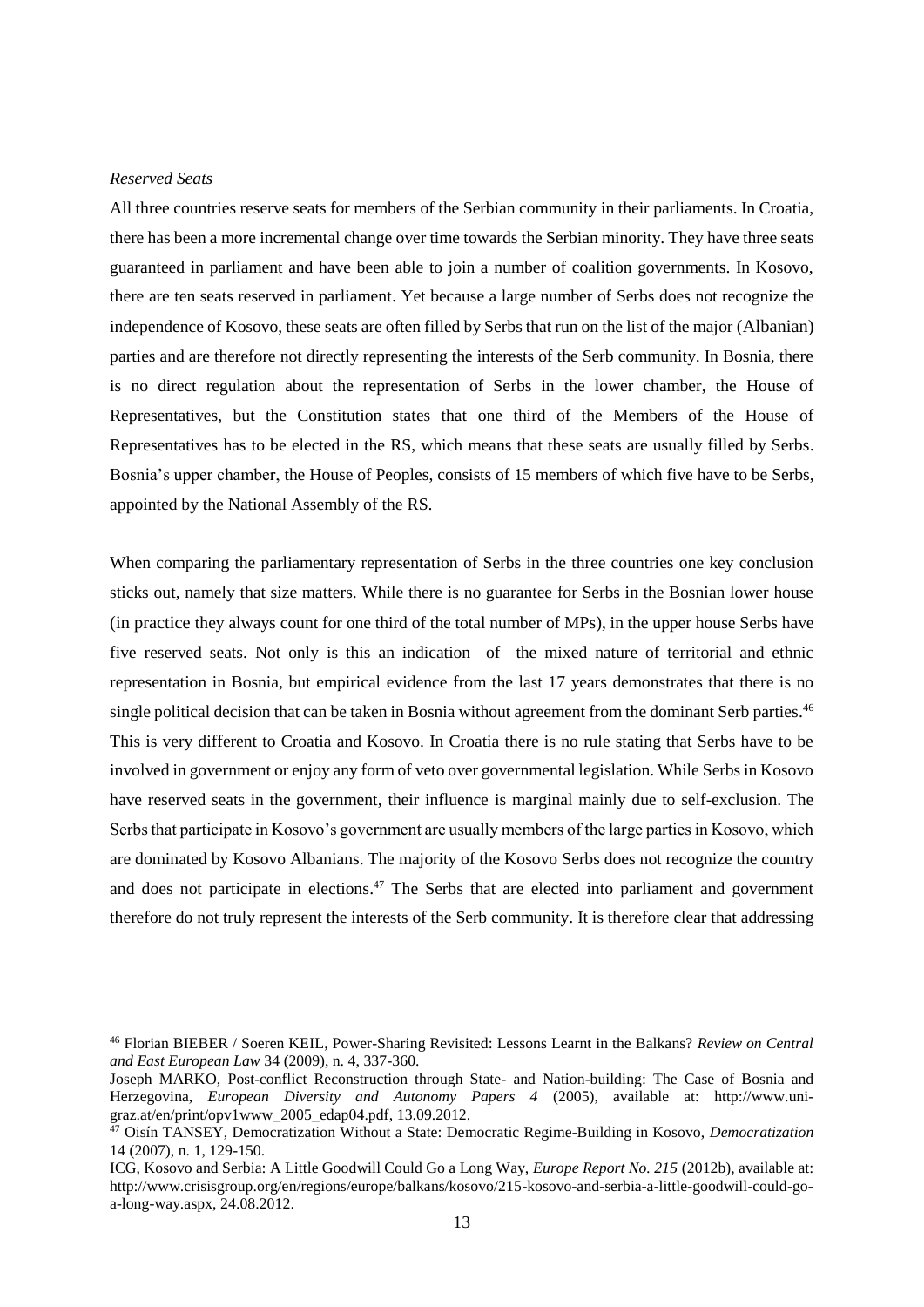#### *Reserved Seats*

-

All three countries reserve seats for members of the Serbian community in their parliaments. In Croatia, there has been a more incremental change over time towards the Serbian minority. They have three seats guaranteed in parliament and have been able to join a number of coalition governments. In Kosovo, there are ten seats reserved in parliament. Yet because a large number of Serbs does not recognize the independence of Kosovo, these seats are often filled by Serbs that run on the list of the major (Albanian) parties and are therefore not directly representing the interests of the Serb community. In Bosnia, there is no direct regulation about the representation of Serbs in the lower chamber, the House of Representatives, but the Constitution states that one third of the Members of the House of Representatives has to be elected in the RS, which means that these seats are usually filled by Serbs. Bosnia's upper chamber, the House of Peoples, consists of 15 members of which five have to be Serbs, appointed by the National Assembly of the RS.

When comparing the parliamentary representation of Serbs in the three countries one key conclusion sticks out, namely that size matters. While there is no guarantee for Serbs in the Bosnian lower house (in practice they always count for one third of the total number of MPs), in the upper house Serbs have five reserved seats. Not only is this an indication of the mixed nature of territorial and ethnic representation in Bosnia, but empirical evidence from the last 17 years demonstrates that there is no single political decision that can be taken in Bosnia without agreement from the dominant Serb parties.<sup>46</sup> This is very different to Croatia and Kosovo. In Croatia there is no rule stating that Serbs have to be involved in government or enjoy any form of veto over governmental legislation. While Serbs in Kosovo have reserved seats in the government, their influence is marginal mainly due to self-exclusion. The Serbs that participate in Kosovo's government are usually members of the large parties in Kosovo, which are dominated by Kosovo Albanians. The majority of the Kosovo Serbs does not recognize the country and does not participate in elections.<sup>47</sup> The Serbs that are elected into parliament and government therefore do not truly represent the interests of the Serb community. It is therefore clear that addressing

<sup>46</sup> Florian BIEBER / Soeren KEIL, Power-Sharing Revisited: Lessons Learnt in the Balkans? *Review on Central and East European Law* 34 (2009), n. 4, 337-360.

Joseph MARKO, Post-conflict Reconstruction through State- and Nation-building: The Case of Bosnia and Herzegovina, *European Diversity and Autonomy Papers 4* (2005), available at: [http://www.uni-](http://www.uni-graz.at/en/print/opv1www_2005_edap04.pdf) $\frac{\text{grad}}{\text{grad}}$  at/en/print/opv1www\_2005\_edap04.pdf, 13.09.2012.

<sup>47</sup> Oisín TANSEY, Democratization Without a State: Democratic Regime-Building in Kosovo, *Democratization* 14 (2007), n. 1, 129-150.

ICG, Kosovo and Serbia: A Little Goodwill Could Go a Long Way, *Europe Report No. 215* (2012b), available at: [http://www.crisisgroup.org/en/regions/europe/balkans/kosovo/215-kosovo-and-serbia-a-little-goodwill-could-go](http://www.crisisgroup.org/en/regions/europe/balkans/kosovo/215-kosovo-and-serbia-a-little-goodwill-could-go-a-long-way.aspx)[a-long-way.aspx,](http://www.crisisgroup.org/en/regions/europe/balkans/kosovo/215-kosovo-and-serbia-a-little-goodwill-could-go-a-long-way.aspx) 24.08.2012.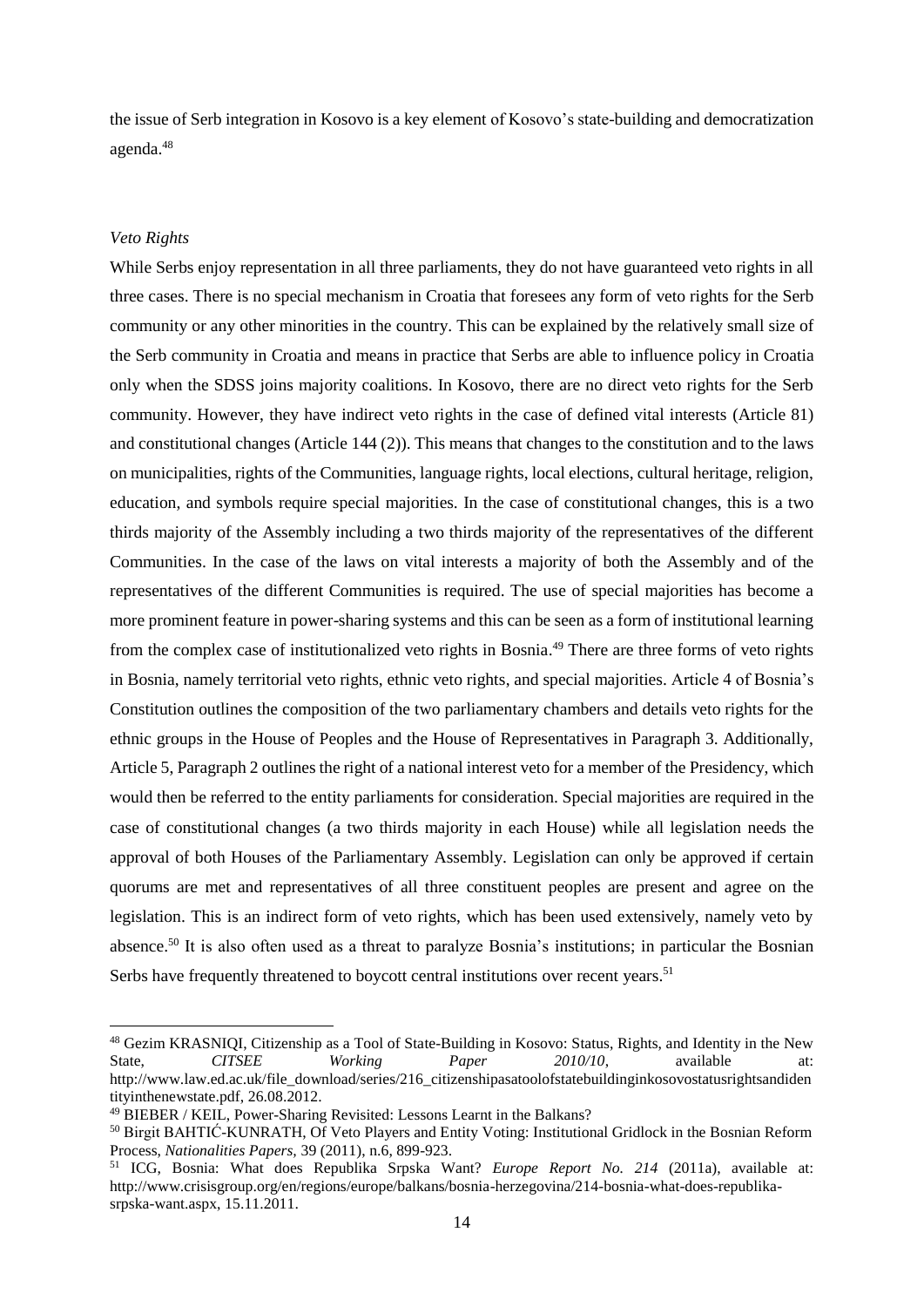the issue of Serb integration in Kosovo is a key element of Kosovo's state-building and democratization agenda.<sup>48</sup>

## *Veto Rights*

-

While Serbs enjoy representation in all three parliaments, they do not have guaranteed veto rights in all three cases. There is no special mechanism in Croatia that foresees any form of veto rights for the Serb community or any other minorities in the country. This can be explained by the relatively small size of the Serb community in Croatia and means in practice that Serbs are able to influence policy in Croatia only when the SDSS joins majority coalitions. In Kosovo, there are no direct veto rights for the Serb community. However, they have indirect veto rights in the case of defined vital interests (Article 81) and constitutional changes (Article 144 (2)). This means that changes to the constitution and to the laws on municipalities, rights of the Communities, language rights, local elections, cultural heritage, religion, education, and symbols require special majorities. In the case of constitutional changes, this is a two thirds majority of the Assembly including a two thirds majority of the representatives of the different Communities. In the case of the laws on vital interests a majority of both the Assembly and of the representatives of the different Communities is required. The use of special majorities has become a more prominent feature in power-sharing systems and this can be seen as a form of institutional learning from the complex case of institutionalized veto rights in Bosnia.<sup>49</sup> There are three forms of veto rights in Bosnia, namely territorial veto rights, ethnic veto rights, and special majorities. Article 4 of Bosnia's Constitution outlines the composition of the two parliamentary chambers and details veto rights for the ethnic groups in the House of Peoples and the House of Representatives in Paragraph 3. Additionally, Article 5, Paragraph 2 outlines the right of a national interest veto for a member of the Presidency, which would then be referred to the entity parliaments for consideration. Special majorities are required in the case of constitutional changes (a two thirds majority in each House) while all legislation needs the approval of both Houses of the Parliamentary Assembly. Legislation can only be approved if certain quorums are met and representatives of all three constituent peoples are present and agree on the legislation. This is an indirect form of veto rights, which has been used extensively, namely veto by absence.<sup>50</sup> It is also often used as a threat to paralyze Bosnia's institutions; in particular the Bosnian Serbs have frequently threatened to boycott central institutions over recent years.<sup>51</sup>

<sup>48</sup> Gezim KRASNIQI, Citizenship as a Tool of State-Building in Kosovo: Status, Rights, and Identity in the New State, *CITSEE Working Paper 2010/10*, available at: [http://www.law.ed.ac.uk/file\\_download/series/216\\_citizenshipasatoolofstatebuildinginkosovostatusrightsandiden](http://www.law.ed.ac.uk/file_download/series/216_citizenshipasatoolofstatebuildinginkosovostatusrightsandidentityinthenewstate.pdf) [tityinthenewstate.pdf,](http://www.law.ed.ac.uk/file_download/series/216_citizenshipasatoolofstatebuildinginkosovostatusrightsandidentityinthenewstate.pdf) 26.08.2012.

<sup>49</sup> BIEBER / KEIL, Power-Sharing Revisited: Lessons Learnt in the Balkans?

<sup>50</sup> Birgit BAHTIĆ-KUNRATH, Of Veto Players and Entity Voting: Institutional Gridlock in the Bosnian Reform Process, *Nationalities Papers,* 39 (2011), n.6, 899-923.

<sup>51</sup> ICG, Bosnia: What does Republika Srpska Want? *Europe Report No. 214* (2011a), available at: [http://www.crisisgroup.org/en/regions/europe/balkans/bosnia-herzegovina/214-bosnia-what-does-republika](http://www.crisisgroup.org/en/regions/europe/balkans/bosnia-herzegovina/214-bosnia-what-does-republika-srpska-want.aspx)[srpska-want.aspx,](http://www.crisisgroup.org/en/regions/europe/balkans/bosnia-herzegovina/214-bosnia-what-does-republika-srpska-want.aspx) 15.11.2011.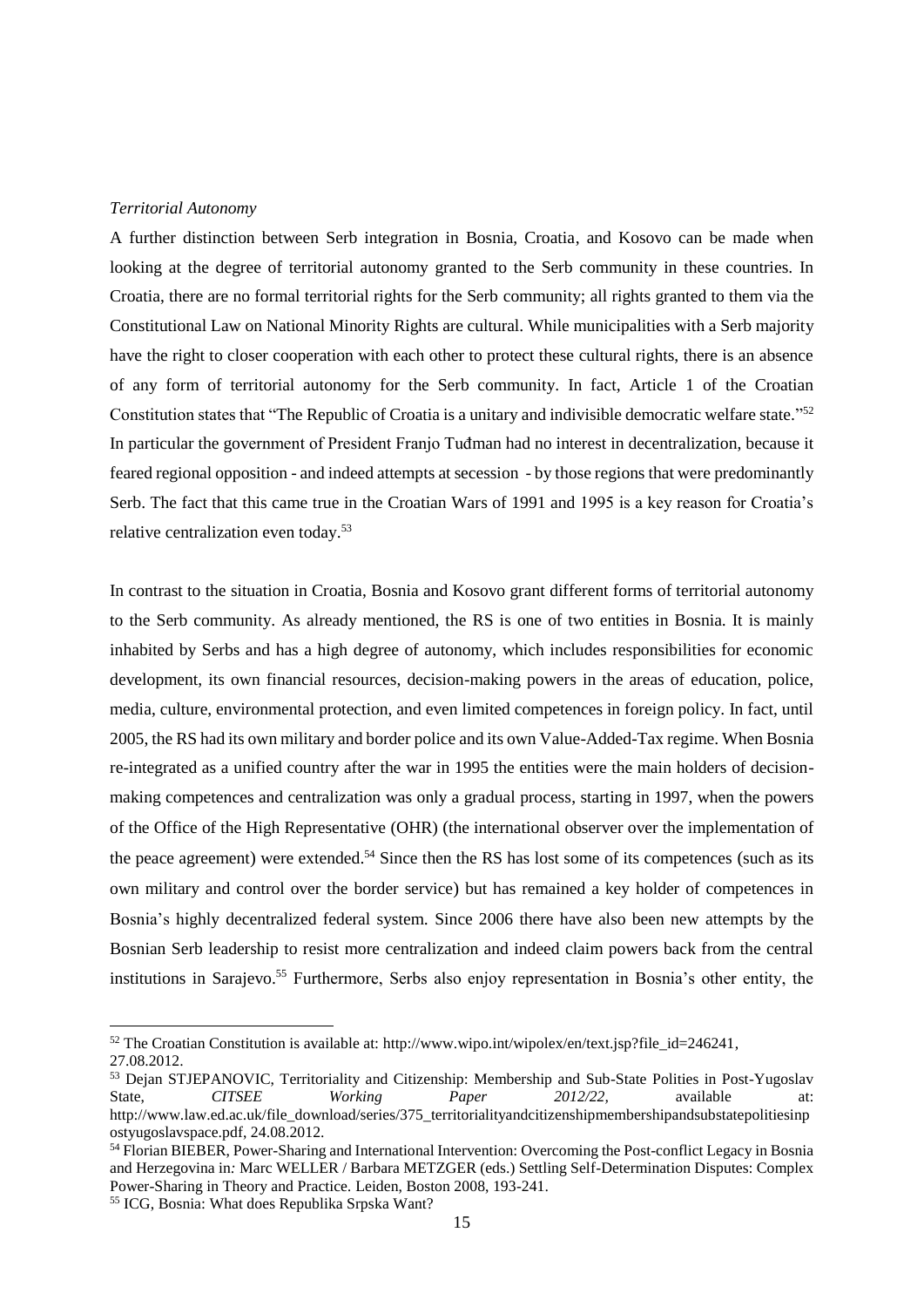#### *Territorial Autonomy*

A further distinction between Serb integration in Bosnia, Croatia, and Kosovo can be made when looking at the degree of territorial autonomy granted to the Serb community in these countries. In Croatia, there are no formal territorial rights for the Serb community; all rights granted to them via the Constitutional Law on National Minority Rights are cultural. While municipalities with a Serb majority have the right to closer cooperation with each other to protect these cultural rights, there is an absence of any form of territorial autonomy for the Serb community. In fact, Article 1 of the Croatian Constitution states that "The Republic of Croatia is a unitary and indivisible democratic welfare state."<sup>52</sup> In particular the government of President Franjo Tuđman had no interest in decentralization, because it feared regional opposition - and indeed attempts at secession - by those regions that were predominantly Serb. The fact that this came true in the Croatian Wars of 1991 and 1995 is a key reason for Croatia's relative centralization even today.<sup>53</sup>

In contrast to the situation in Croatia, Bosnia and Kosovo grant different forms of territorial autonomy to the Serb community. As already mentioned, the RS is one of two entities in Bosnia. It is mainly inhabited by Serbs and has a high degree of autonomy, which includes responsibilities for economic development, its own financial resources, decision-making powers in the areas of education, police, media, culture, environmental protection, and even limited competences in foreign policy. In fact, until 2005, the RS had its own military and border police and its own Value-Added-Tax regime. When Bosnia re-integrated as a unified country after the war in 1995 the entities were the main holders of decisionmaking competences and centralization was only a gradual process, starting in 1997, when the powers of the Office of the High Representative (OHR) (the international observer over the implementation of the peace agreement) were extended.<sup>54</sup> Since then the RS has lost some of its competences (such as its own military and control over the border service) but has remained a key holder of competences in Bosnia's highly decentralized federal system. Since 2006 there have also been new attempts by the Bosnian Serb leadership to resist more centralization and indeed claim powers back from the central institutions in Sarajevo. <sup>55</sup> Furthermore, Serbs also enjoy representation in Bosnia's other entity, the

<sup>52</sup> The Croatian Constitution is available at: [http://www.wipo.int/wipolex/en/text.jsp?file\\_id=246241,](http://www.wipo.int/wipolex/en/text.jsp?file_id=246241) 27.08.2012.

<sup>53</sup> Dejan STJEPANOVIC, Territoriality and Citizenship: Membership and Sub-State Polities in Post-Yugoslav State, *CITSEE Working Paper 2012/22,* available at: [http://www.law.ed.ac.uk/file\\_download/series/375\\_territorialityandcitizenshipmembershipandsubstatepolitiesinp](http://www.law.ed.ac.uk/file_download/series/375_territorialityandcitizenshipmembershipandsubstatepolitiesinpostyugoslavspace.pdf) [ostyugoslavspace.pdf,](http://www.law.ed.ac.uk/file_download/series/375_territorialityandcitizenshipmembershipandsubstatepolitiesinpostyugoslavspace.pdf) 24.08.2012.

<sup>54</sup> Florian BIEBER, Power-Sharing and International Intervention: Overcoming the Post-conflict Legacy in Bosnia and Herzegovina in*:* Marc WELLER / Barbara METZGER (eds.) Settling Self-Determination Disputes: Complex Power-Sharing in Theory and Practice*.* Leiden, Boston 2008, 193-241.

<sup>55</sup> ICG, Bosnia: What does Republika Srpska Want?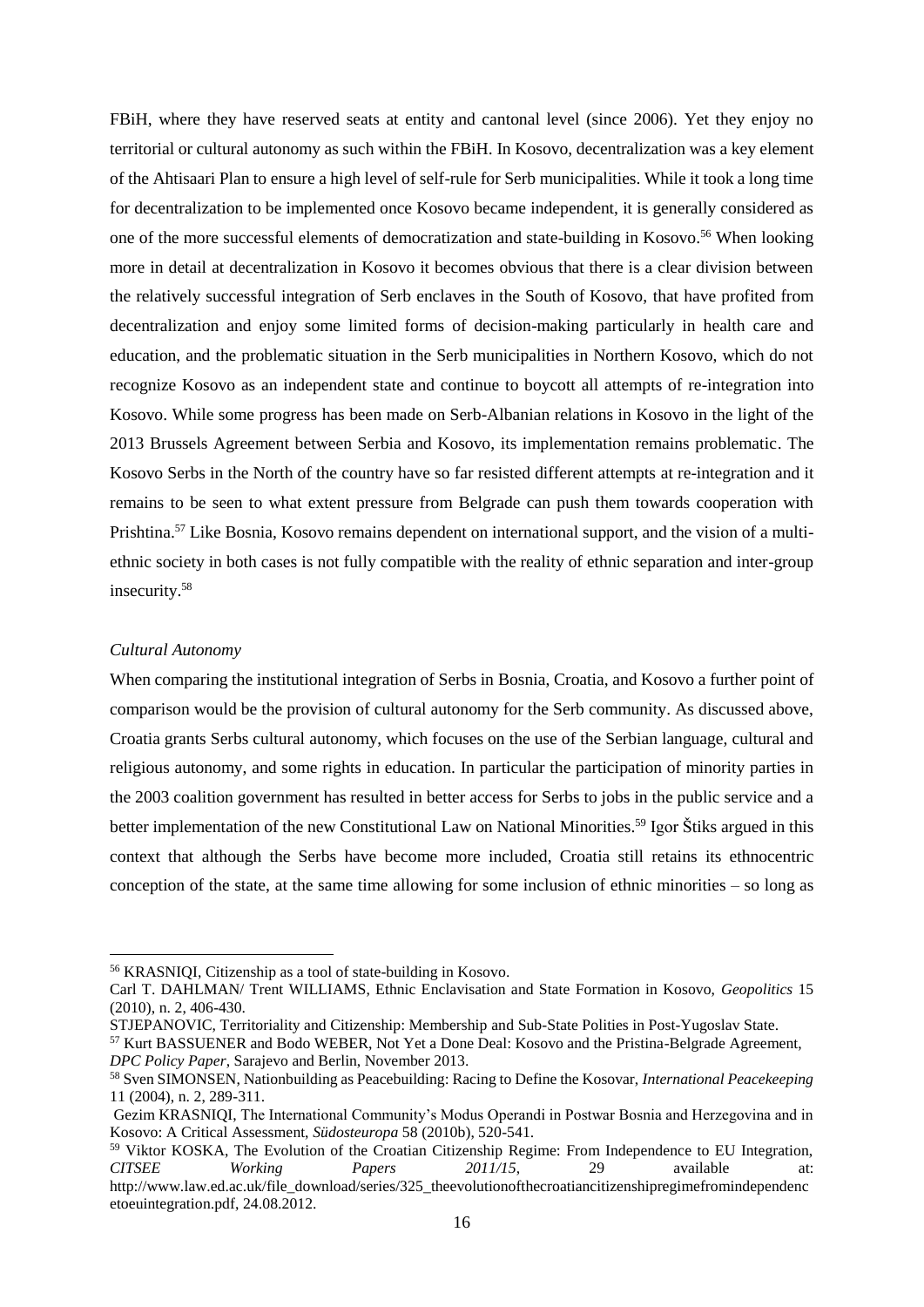FBiH, where they have reserved seats at entity and cantonal level (since 2006). Yet they enjoy no territorial or cultural autonomy as such within the FBiH. In Kosovo, decentralization was a key element of the Ahtisaari Plan to ensure a high level of self-rule for Serb municipalities. While it took a long time for decentralization to be implemented once Kosovo became independent, it is generally considered as one of the more successful elements of democratization and state-building in Kosovo. <sup>56</sup> When looking more in detail at decentralization in Kosovo it becomes obvious that there is a clear division between the relatively successful integration of Serb enclaves in the South of Kosovo, that have profited from decentralization and enjoy some limited forms of decision-making particularly in health care and education, and the problematic situation in the Serb municipalities in Northern Kosovo, which do not recognize Kosovo as an independent state and continue to boycott all attempts of re-integration into Kosovo. While some progress has been made on Serb-Albanian relations in Kosovo in the light of the 2013 Brussels Agreement between Serbia and Kosovo, its implementation remains problematic. The Kosovo Serbs in the North of the country have so far resisted different attempts at re-integration and it remains to be seen to what extent pressure from Belgrade can push them towards cooperation with Prishtina.<sup>57</sup> Like Bosnia, Kosovo remains dependent on international support, and the vision of a multiethnic society in both cases is not fully compatible with the reality of ethnic separation and inter-group insecurity. 58

### *Cultural Autonomy*

-

When comparing the institutional integration of Serbs in Bosnia, Croatia, and Kosovo a further point of comparison would be the provision of cultural autonomy for the Serb community. As discussed above, Croatia grants Serbs cultural autonomy, which focuses on the use of the Serbian language, cultural and religious autonomy, and some rights in education. In particular the participation of minority parties in the 2003 coalition government has resulted in better access for Serbs to jobs in the public service and a better implementation of the new Constitutional Law on National Minorities.<sup>59</sup> Igor Štiks argued in this context that although the Serbs have become more included, Croatia still retains its ethnocentric conception of the state, at the same time allowing for some inclusion of ethnic minorities – so long as

<sup>56</sup> KRASNIQI, Citizenship as a tool of state-building in Kosovo.

Carl T. DAHLMAN/ Trent WILLIAMS, Ethnic Enclavisation and State Formation in Kosovo, *Geopolitics* 15 (2010), n. 2, 406-430.

STJEPANOVIC, Territoriality and Citizenship: Membership and Sub-State Polities in Post-Yugoslav State. <sup>57</sup> Kurt BASSUENER and Bodo WEBER, Not Yet a Done Deal: Kosovo and the Pristina-Belgrade Agreement,

*DPC Policy Paper*, Sarajevo and Berlin, November 2013.

<sup>58</sup> Sven SIMONSEN, Nationbuilding as Peacebuilding: Racing to Define the Kosovar, *International Peacekeeping* 11 (2004), n. 2, 289-311.

Gezim KRASNIQI, The International Community's Modus Operandi in Postwar Bosnia and Herzegovina and in Kosovo: A Critical Assessment, *Südosteuropa* 58 (2010b), 520-541.

<sup>&</sup>lt;sup>59</sup> Viktor KOSKA, The Evolution of the Croatian Citizenship Regime: From Independence to EU Integration, *CITSEE Working Papers*  $2011/15$ , 29 *available at: CITSEE Working Papers 2011/15*, 29 available at: [http://www.law.ed.ac.uk/file\\_download/series/325\\_theevolutionofthecroatiancitizenshipregimefromindependenc](http://www.law.ed.ac.uk/file_download/series/325_theevolutionofthecroatiancitizenshipregimefromindependencetoeuintegration.pdf) [etoeuintegration.pdf,](http://www.law.ed.ac.uk/file_download/series/325_theevolutionofthecroatiancitizenshipregimefromindependencetoeuintegration.pdf) 24.08.2012.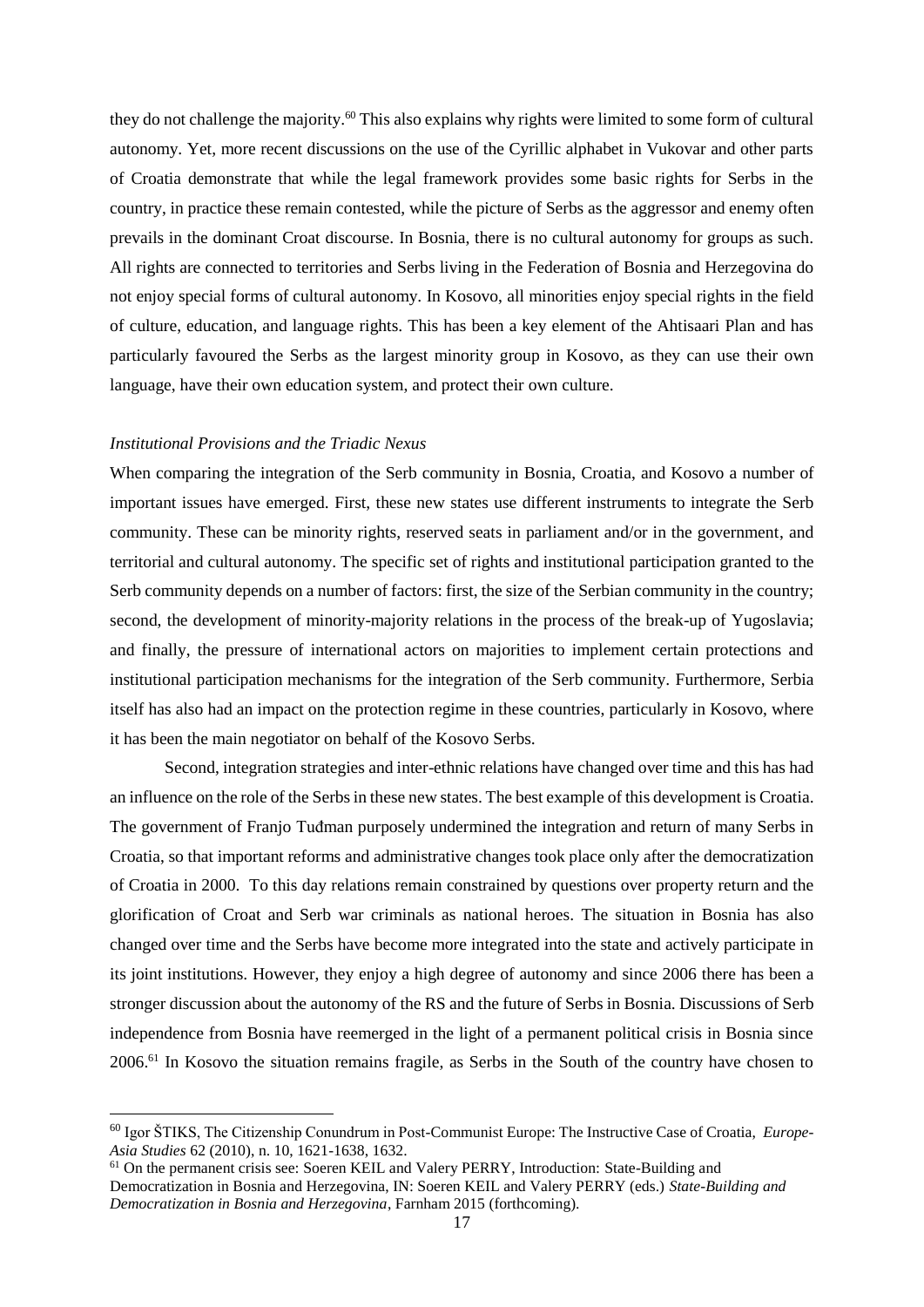they do not challenge the majority.<sup>60</sup> This also explains why rights were limited to some form of cultural autonomy. Yet, more recent discussions on the use of the Cyrillic alphabet in Vukovar and other parts of Croatia demonstrate that while the legal framework provides some basic rights for Serbs in the country, in practice these remain contested, while the picture of Serbs as the aggressor and enemy often prevails in the dominant Croat discourse. In Bosnia, there is no cultural autonomy for groups as such. All rights are connected to territories and Serbs living in the Federation of Bosnia and Herzegovina do not enjoy special forms of cultural autonomy. In Kosovo, all minorities enjoy special rights in the field of culture, education, and language rights. This has been a key element of the Ahtisaari Plan and has particularly favoured the Serbs as the largest minority group in Kosovo, as they can use their own language, have their own education system, and protect their own culture.

## *Institutional Provisions and the Triadic Nexus*

1

When comparing the integration of the Serb community in Bosnia, Croatia, and Kosovo a number of important issues have emerged. First, these new states use different instruments to integrate the Serb community. These can be minority rights, reserved seats in parliament and/or in the government, and territorial and cultural autonomy. The specific set of rights and institutional participation granted to the Serb community depends on a number of factors: first, the size of the Serbian community in the country; second, the development of minority-majority relations in the process of the break-up of Yugoslavia; and finally, the pressure of international actors on majorities to implement certain protections and institutional participation mechanisms for the integration of the Serb community. Furthermore, Serbia itself has also had an impact on the protection regime in these countries, particularly in Kosovo, where it has been the main negotiator on behalf of the Kosovo Serbs.

Second, integration strategies and inter-ethnic relations have changed over time and this has had an influence on the role of the Serbs in these new states. The best example of this development is Croatia. The government of Franjo Tuđman purposely undermined the integration and return of many Serbs in Croatia, so that important reforms and administrative changes took place only after the democratization of Croatia in 2000. To this day relations remain constrained by questions over property return and the glorification of Croat and Serb war criminals as national heroes. The situation in Bosnia has also changed over time and the Serbs have become more integrated into the state and actively participate in its joint institutions. However, they enjoy a high degree of autonomy and since 2006 there has been a stronger discussion about the autonomy of the RS and the future of Serbs in Bosnia. Discussions of Serb independence from Bosnia have reemerged in the light of a permanent political crisis in Bosnia since 2006.<sup>61</sup> In Kosovo the situation remains fragile, as Serbs in the South of the country have chosen to

<sup>60</sup> Igor ŠTIKS, The Citizenship Conundrum in Post-Communist Europe: The Instructive Case of Croatia, *Europe-Asia Studies* 62 (2010), n. 10, 1621-1638, 1632.

<sup>61</sup> On the permanent crisis see: Soeren KEIL and Valery PERRY, Introduction: State-Building and Democratization in Bosnia and Herzegovina, IN: Soeren KEIL and Valery PERRY (eds.) *State-Building and Democratization in Bosnia and Herzegovina*, Farnham 2015 (forthcoming).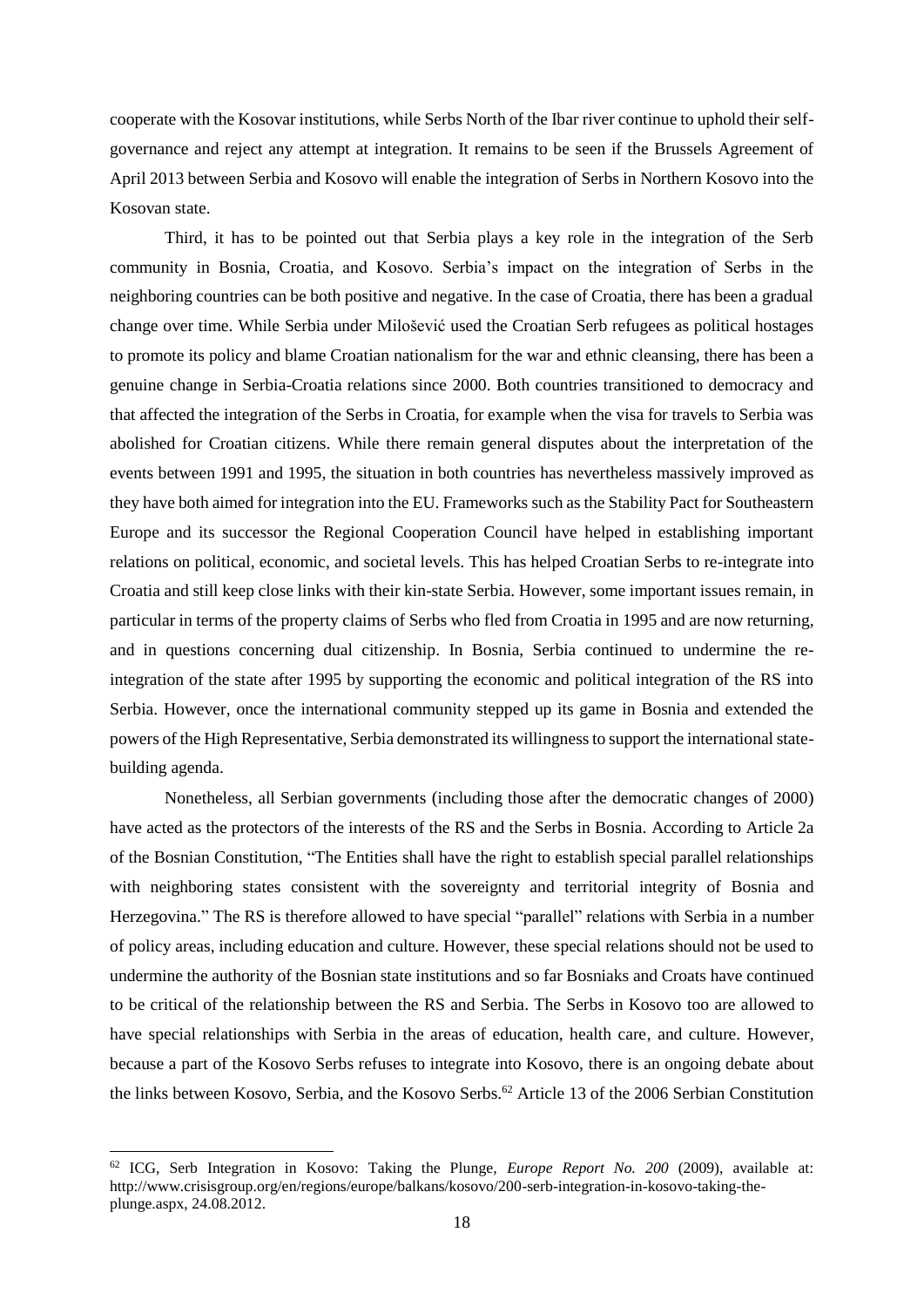cooperate with the Kosovar institutions, while Serbs North of the Ibar river continue to uphold their selfgovernance and reject any attempt at integration. It remains to be seen if the Brussels Agreement of April 2013 between Serbia and Kosovo will enable the integration of Serbs in Northern Kosovo into the Kosovan state.

Third, it has to be pointed out that Serbia plays a key role in the integration of the Serb community in Bosnia, Croatia, and Kosovo. Serbia's impact on the integration of Serbs in the neighboring countries can be both positive and negative. In the case of Croatia, there has been a gradual change over time. While Serbia under Milošević used the Croatian Serb refugees as political hostages to promote its policy and blame Croatian nationalism for the war and ethnic cleansing, there has been a genuine change in Serbia-Croatia relations since 2000. Both countries transitioned to democracy and that affected the integration of the Serbs in Croatia, for example when the visa for travels to Serbia was abolished for Croatian citizens. While there remain general disputes about the interpretation of the events between 1991 and 1995, the situation in both countries has nevertheless massively improved as they have both aimed for integration into the EU. Frameworks such as the Stability Pact for Southeastern Europe and its successor the Regional Cooperation Council have helped in establishing important relations on political, economic, and societal levels. This has helped Croatian Serbs to re-integrate into Croatia and still keep close links with their kin-state Serbia. However, some important issues remain, in particular in terms of the property claims of Serbs who fled from Croatia in 1995 and are now returning, and in questions concerning dual citizenship. In Bosnia, Serbia continued to undermine the reintegration of the state after 1995 by supporting the economic and political integration of the RS into Serbia. However, once the international community stepped up its game in Bosnia and extended the powers of the High Representative, Serbia demonstrated its willingness to support the international statebuilding agenda.

Nonetheless, all Serbian governments (including those after the democratic changes of 2000) have acted as the protectors of the interests of the RS and the Serbs in Bosnia. According to Article 2a of the Bosnian Constitution, "The Entities shall have the right to establish special parallel relationships with neighboring states consistent with the sovereignty and territorial integrity of Bosnia and Herzegovina." The RS is therefore allowed to have special "parallel" relations with Serbia in a number of policy areas, including education and culture. However, these special relations should not be used to undermine the authority of the Bosnian state institutions and so far Bosniaks and Croats have continued to be critical of the relationship between the RS and Serbia. The Serbs in Kosovo too are allowed to have special relationships with Serbia in the areas of education, health care, and culture. However, because a part of the Kosovo Serbs refuses to integrate into Kosovo, there is an ongoing debate about the links between Kosovo, Serbia, and the Kosovo Serbs.<sup>62</sup> Article 13 of the 2006 Serbian Constitution

<sup>62</sup> ICG, Serb Integration in Kosovo: Taking the Plunge, *Europe Report No. 200* (2009), available at: [http://www.crisisgroup.org/en/regions/europe/balkans/kosovo/200-serb-integration-in-kosovo-taking-the](http://www.crisisgroup.org/en/regions/europe/balkans/kosovo/200-serb-integration-in-kosovo-taking-the-plunge.aspx)[plunge.aspx,](http://www.crisisgroup.org/en/regions/europe/balkans/kosovo/200-serb-integration-in-kosovo-taking-the-plunge.aspx) 24.08.2012.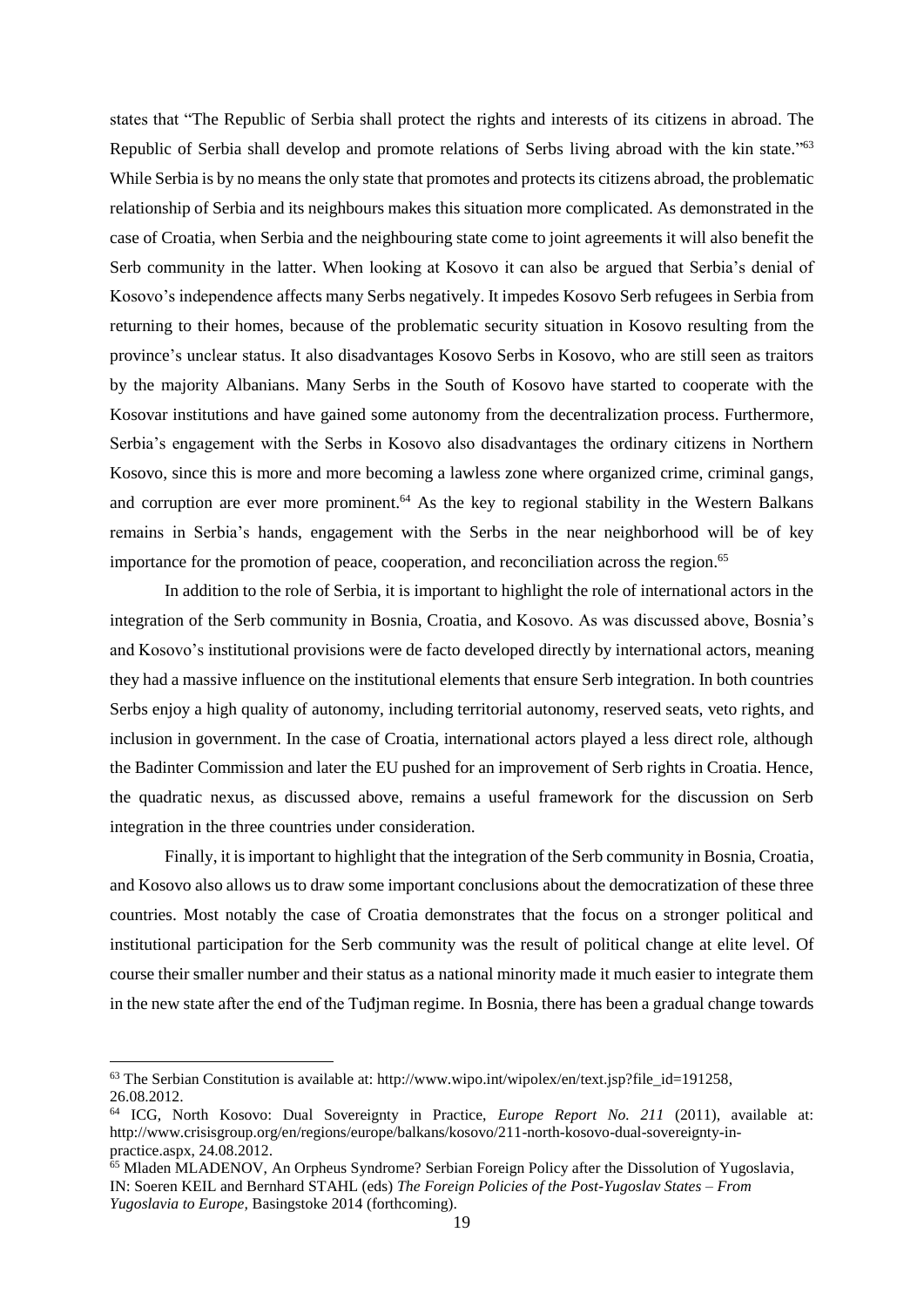states that "The Republic of Serbia shall protect the rights and interests of its citizens in abroad. The Republic of Serbia shall develop and promote relations of Serbs living abroad with the kin state."<sup>63</sup> While Serbia is by no means the only state that promotes and protects its citizens abroad, the problematic relationship of Serbia and its neighbours makes this situation more complicated. As demonstrated in the case of Croatia, when Serbia and the neighbouring state come to joint agreements it will also benefit the Serb community in the latter. When looking at Kosovo it can also be argued that Serbia's denial of Kosovo's independence affects many Serbs negatively. It impedes Kosovo Serb refugees in Serbia from returning to their homes, because of the problematic security situation in Kosovo resulting from the province's unclear status. It also disadvantages Kosovo Serbs in Kosovo, who are still seen as traitors by the majority Albanians. Many Serbs in the South of Kosovo have started to cooperate with the Kosovar institutions and have gained some autonomy from the decentralization process. Furthermore, Serbia's engagement with the Serbs in Kosovo also disadvantages the ordinary citizens in Northern Kosovo, since this is more and more becoming a lawless zone where organized crime, criminal gangs, and corruption are ever more prominent. <sup>64</sup> As the key to regional stability in the Western Balkans remains in Serbia's hands, engagement with the Serbs in the near neighborhood will be of key importance for the promotion of peace, cooperation, and reconciliation across the region.<sup>65</sup>

In addition to the role of Serbia, it is important to highlight the role of international actors in the integration of the Serb community in Bosnia, Croatia, and Kosovo. As was discussed above, Bosnia's and Kosovo's institutional provisions were de facto developed directly by international actors, meaning they had a massive influence on the institutional elements that ensure Serb integration. In both countries Serbs enjoy a high quality of autonomy, including territorial autonomy, reserved seats, veto rights, and inclusion in government. In the case of Croatia, international actors played a less direct role, although the Badinter Commission and later the EU pushed for an improvement of Serb rights in Croatia. Hence, the quadratic nexus, as discussed above, remains a useful framework for the discussion on Serb integration in the three countries under consideration.

Finally, it is important to highlight that the integration of the Serb community in Bosnia, Croatia, and Kosovo also allows us to draw some important conclusions about the democratization of these three countries. Most notably the case of Croatia demonstrates that the focus on a stronger political and institutional participation for the Serb community was the result of political change at elite level. Of course their smaller number and their status as a national minority made it much easier to integrate them in the new state after the end of the Tuđjman regime. In Bosnia, there has been a gradual change towards

<sup>63</sup> The Serbian Constitution is available at: [http://www.wipo.int/wipolex/en/text.jsp?file\\_id=191258,](http://www.wipo.int/wipolex/en/text.jsp?file_id=191258) 26.08.2012.

<sup>64</sup> ICG, North Kosovo: Dual Sovereignty in Practice, *Europe Report No. 211* (2011), available at: [http://www.crisisgroup.org/en/regions/europe/balkans/kosovo/211-north-kosovo-dual-sovereignty-in](http://www.crisisgroup.org/en/regions/europe/balkans/kosovo/211-north-kosovo-dual-sovereignty-in-practice.aspx)[practice.aspx,](http://www.crisisgroup.org/en/regions/europe/balkans/kosovo/211-north-kosovo-dual-sovereignty-in-practice.aspx) 24.08.2012.

<sup>65</sup> Mladen MLADENOV, An Orpheus Syndrome? Serbian Foreign Policy after the Dissolution of Yugoslavia, IN: Soeren KEIL and Bernhard STAHL (eds) *The Foreign Policies of the Post-Yugoslav States – From Yugoslavia to Europe,* Basingstoke 2014 (forthcoming).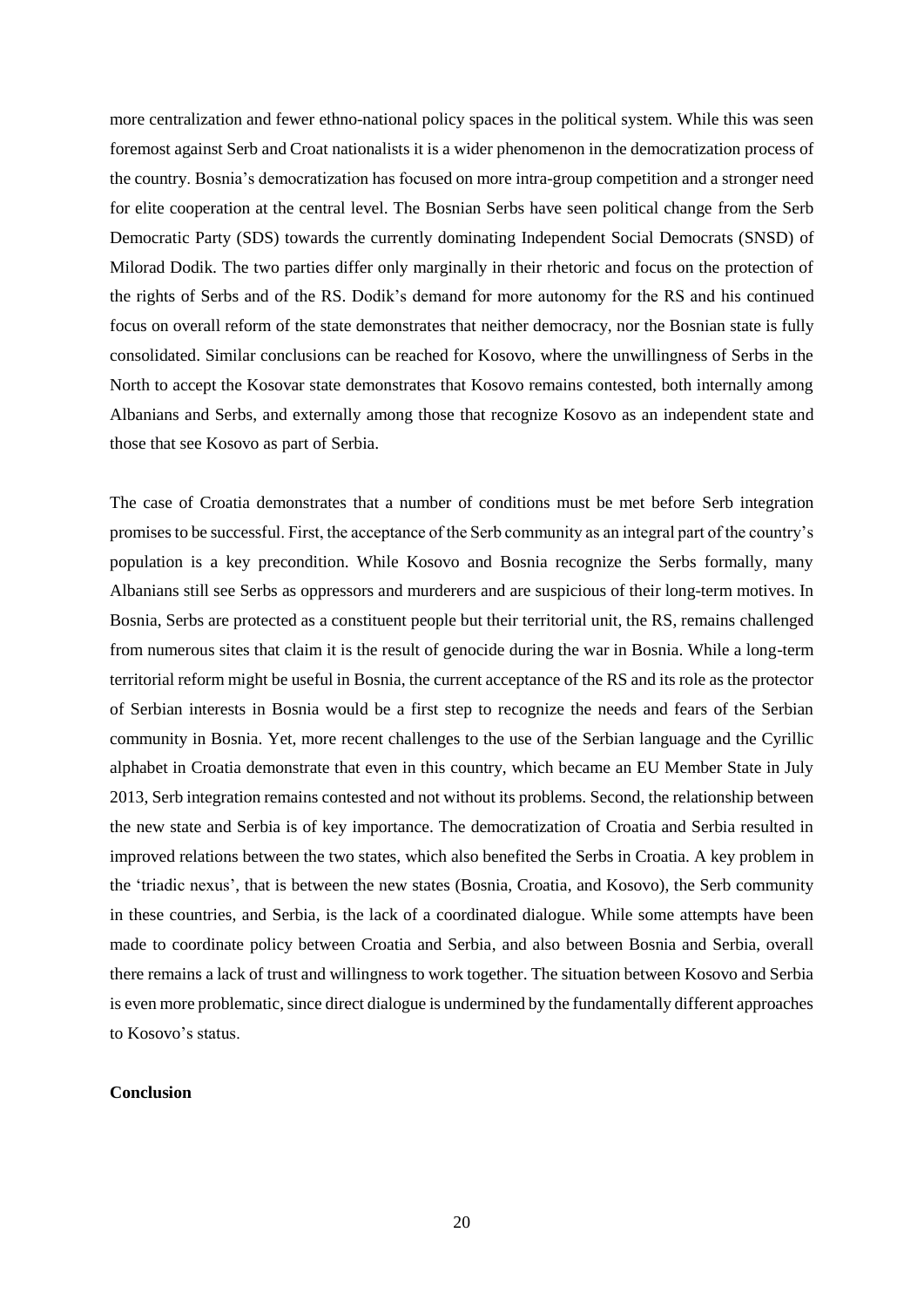more centralization and fewer ethno-national policy spaces in the political system. While this was seen foremost against Serb and Croat nationalists it is a wider phenomenon in the democratization process of the country. Bosnia's democratization has focused on more intra-group competition and a stronger need for elite cooperation at the central level. The Bosnian Serbs have seen political change from the Serb Democratic Party (SDS) towards the currently dominating Independent Social Democrats (SNSD) of Milorad Dodik. The two parties differ only marginally in their rhetoric and focus on the protection of the rights of Serbs and of the RS. Dodik's demand for more autonomy for the RS and his continued focus on overall reform of the state demonstrates that neither democracy, nor the Bosnian state is fully consolidated. Similar conclusions can be reached for Kosovo, where the unwillingness of Serbs in the North to accept the Kosovar state demonstrates that Kosovo remains contested, both internally among Albanians and Serbs, and externally among those that recognize Kosovo as an independent state and those that see Kosovo as part of Serbia.

The case of Croatia demonstrates that a number of conditions must be met before Serb integration promises to be successful. First, the acceptance of the Serb community as an integral part of the country's population is a key precondition. While Kosovo and Bosnia recognize the Serbs formally, many Albanians still see Serbs as oppressors and murderers and are suspicious of their long-term motives. In Bosnia, Serbs are protected as a constituent people but their territorial unit, the RS, remains challenged from numerous sites that claim it is the result of genocide during the war in Bosnia. While a long-term territorial reform might be useful in Bosnia, the current acceptance of the RS and its role as the protector of Serbian interests in Bosnia would be a first step to recognize the needs and fears of the Serbian community in Bosnia. Yet, more recent challenges to the use of the Serbian language and the Cyrillic alphabet in Croatia demonstrate that even in this country, which became an EU Member State in July 2013, Serb integration remains contested and not without its problems. Second, the relationship between the new state and Serbia is of key importance. The democratization of Croatia and Serbia resulted in improved relations between the two states, which also benefited the Serbs in Croatia. A key problem in the 'triadic nexus', that is between the new states (Bosnia, Croatia, and Kosovo), the Serb community in these countries, and Serbia, is the lack of a coordinated dialogue. While some attempts have been made to coordinate policy between Croatia and Serbia, and also between Bosnia and Serbia, overall there remains a lack of trust and willingness to work together. The situation between Kosovo and Serbia is even more problematic, since direct dialogue is undermined by the fundamentally different approaches to Kosovo's status.

# **Conclusion**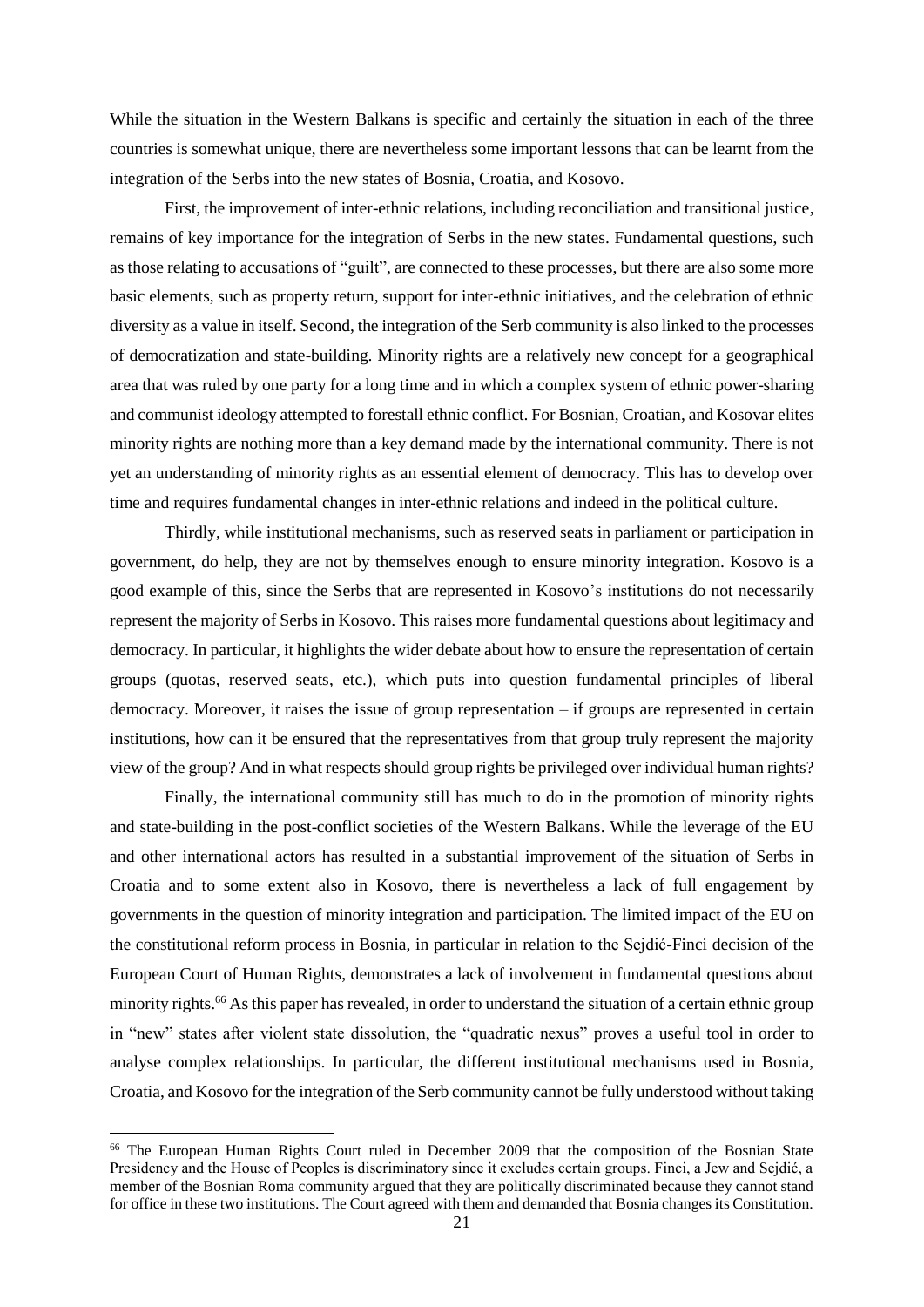While the situation in the Western Balkans is specific and certainly the situation in each of the three countries is somewhat unique, there are nevertheless some important lessons that can be learnt from the integration of the Serbs into the new states of Bosnia, Croatia, and Kosovo.

First, the improvement of inter-ethnic relations, including reconciliation and transitional justice, remains of key importance for the integration of Serbs in the new states. Fundamental questions, such as those relating to accusations of "guilt", are connected to these processes, but there are also some more basic elements, such as property return, support for inter-ethnic initiatives, and the celebration of ethnic diversity as a value in itself. Second, the integration of the Serb community is also linked to the processes of democratization and state-building. Minority rights are a relatively new concept for a geographical area that was ruled by one party for a long time and in which a complex system of ethnic power-sharing and communist ideology attempted to forestall ethnic conflict. For Bosnian, Croatian, and Kosovar elites minority rights are nothing more than a key demand made by the international community. There is not yet an understanding of minority rights as an essential element of democracy. This has to develop over time and requires fundamental changes in inter-ethnic relations and indeed in the political culture.

Thirdly, while institutional mechanisms, such as reserved seats in parliament or participation in government, do help, they are not by themselves enough to ensure minority integration. Kosovo is a good example of this, since the Serbs that are represented in Kosovo's institutions do not necessarily represent the majority of Serbs in Kosovo. This raises more fundamental questions about legitimacy and democracy. In particular, it highlights the wider debate about how to ensure the representation of certain groups (quotas, reserved seats, etc.), which puts into question fundamental principles of liberal democracy. Moreover, it raises the issue of group representation – if groups are represented in certain institutions, how can it be ensured that the representatives from that group truly represent the majority view of the group? And in what respects should group rights be privileged over individual human rights?

Finally, the international community still has much to do in the promotion of minority rights and state-building in the post-conflict societies of the Western Balkans. While the leverage of the EU and other international actors has resulted in a substantial improvement of the situation of Serbs in Croatia and to some extent also in Kosovo, there is nevertheless a lack of full engagement by governments in the question of minority integration and participation. The limited impact of the EU on the constitutional reform process in Bosnia, in particular in relation to the Sejdić-Finci decision of the European Court of Human Rights, demonstrates a lack of involvement in fundamental questions about minority rights.<sup>66</sup> As this paper has revealed, in order to understand the situation of a certain ethnic group in "new" states after violent state dissolution, the "quadratic nexus" proves a useful tool in order to analyse complex relationships. In particular, the different institutional mechanisms used in Bosnia, Croatia, and Kosovo for the integration of the Serb community cannot be fully understood without taking

<sup>66</sup> The European Human Rights Court ruled in December 2009 that the composition of the Bosnian State Presidency and the House of Peoples is discriminatory since it excludes certain groups. Finci, a Jew and Sejdić, a member of the Bosnian Roma community argued that they are politically discriminated because they cannot stand for office in these two institutions. The Court agreed with them and demanded that Bosnia changes its Constitution.